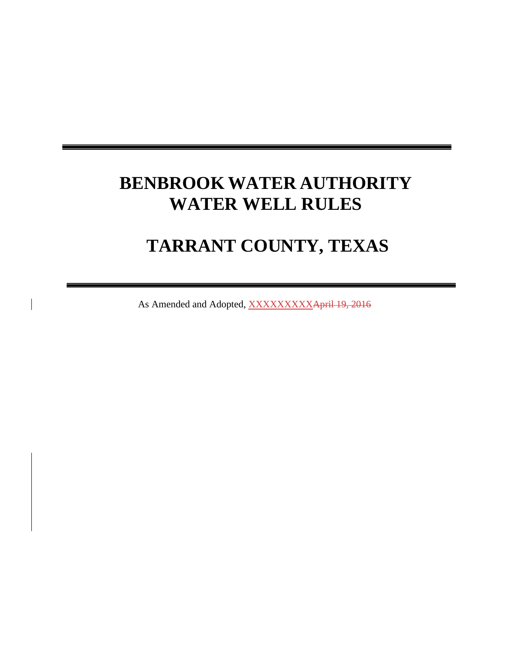# **BENBROOK WATER AUTHORITY WATER WELL RULES**

## **TARRANT COUNTY, TEXAS**

As Amended and Adopted, XXXXXXXXXApril 19, 2016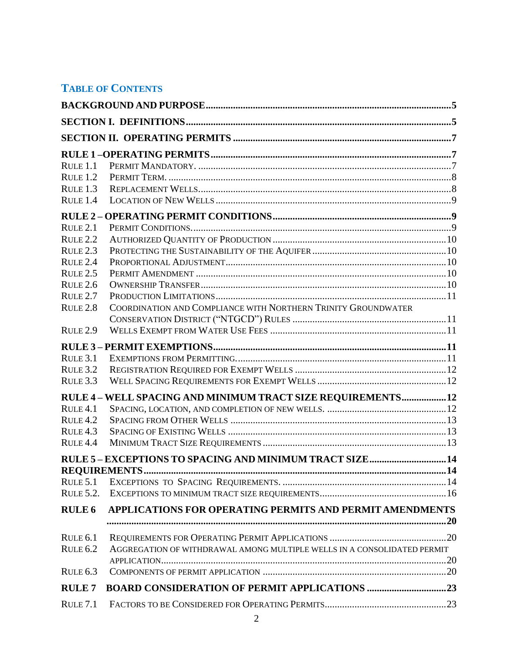## **TABLE OF CONTENTS**

| RULE 1.1            |                                                                         |  |
|---------------------|-------------------------------------------------------------------------|--|
| $R$ ULE $1.2$       |                                                                         |  |
| RULE <sub>1.3</sub> |                                                                         |  |
| RULE <sub>1.4</sub> |                                                                         |  |
|                     |                                                                         |  |
| RULE <sub>2.1</sub> |                                                                         |  |
| $R$ ULE $2.2$       |                                                                         |  |
| RULE <sub>2.3</sub> |                                                                         |  |
| RULE <sub>2.4</sub> |                                                                         |  |
| <b>RULE 2.5</b>     |                                                                         |  |
| RULE 2.6            |                                                                         |  |
| $RUE$ $2.7$         |                                                                         |  |
| RULE <sub>2.8</sub> | COORDINATION AND COMPLIANCE WITH NORTHERN TRINITY GROUNDWATER           |  |
|                     |                                                                         |  |
| RULE <sub>2.9</sub> |                                                                         |  |
|                     |                                                                         |  |
| RULE 3.1            |                                                                         |  |
| RULE 3.2            |                                                                         |  |
| RULE 3.3            |                                                                         |  |
|                     | RULE 4 - WELL SPACING AND MINIMUM TRACT SIZE REQUIREMENTS12             |  |
| RULE <sub>4.1</sub> |                                                                         |  |
| RULE <sub>4.2</sub> |                                                                         |  |
| RULE 4.3            |                                                                         |  |
| $R$ ULE $4.4$       |                                                                         |  |
|                     | RULE 5-EXCEPTIONS TO SPACING AND MINIMUM TRACT SIZE14                   |  |
|                     |                                                                         |  |
| RULE 5.1            |                                                                         |  |
| <b>RULE 5.2.</b>    |                                                                         |  |
| <b>RULE 6</b>       | APPLICATIONS FOR OPERATING PERMITS AND PERMIT AMENDMENTS                |  |
|                     |                                                                         |  |
| RULE 6.1            |                                                                         |  |
| <b>RULE 6.2</b>     | AGGREGATION OF WITHDRAWAL AMONG MULTIPLE WELLS IN A CONSOLIDATED PERMIT |  |
|                     |                                                                         |  |
| RULE 6.3            |                                                                         |  |
| <b>RULE7</b>        | <b>BOARD CONSIDERATION OF PERMIT APPLICATIONS 23</b>                    |  |
| <b>RULE 7.1</b>     |                                                                         |  |
|                     |                                                                         |  |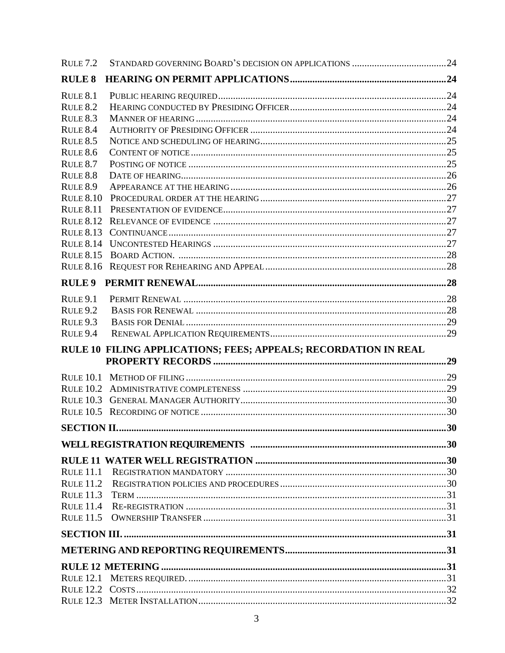| RULE <sub>7.2</sub> |                                                                 |  |
|---------------------|-----------------------------------------------------------------|--|
| <b>RULE 8</b>       |                                                                 |  |
| RULE 8.1            |                                                                 |  |
| <b>RULE 8.2</b>     |                                                                 |  |
| <b>RULE 8.3</b>     |                                                                 |  |
| RULE 8.4            |                                                                 |  |
| <b>RULE 8.5</b>     |                                                                 |  |
| <b>RULE 8.6</b>     |                                                                 |  |
| <b>RULE 8.7</b>     |                                                                 |  |
| <b>RULE 8.8</b>     |                                                                 |  |
| <b>RULE 8.9</b>     |                                                                 |  |
| <b>RULE 8.10</b>    |                                                                 |  |
| <b>RULE 8.11</b>    |                                                                 |  |
|                     |                                                                 |  |
| <b>RULE 8.13</b>    |                                                                 |  |
|                     |                                                                 |  |
| <b>RULE 8.15</b>    |                                                                 |  |
|                     |                                                                 |  |
| <b>RULE 9</b>       |                                                                 |  |
| RULE <sub>9.1</sub> |                                                                 |  |
| RULE <sub>9.2</sub> |                                                                 |  |
| RULE <sub>9.3</sub> |                                                                 |  |
| RULE <sub>9.4</sub> |                                                                 |  |
|                     |                                                                 |  |
|                     | RULE 10 FILING APPLICATIONS; FEES; APPEALS; RECORDATION IN REAL |  |
|                     |                                                                 |  |
| <b>RULE 10.1</b>    |                                                                 |  |
|                     |                                                                 |  |
| RULE $10.3$         |                                                                 |  |
|                     |                                                                 |  |
|                     |                                                                 |  |
|                     |                                                                 |  |
|                     |                                                                 |  |
| <b>RULE 11.1</b>    |                                                                 |  |
| <b>RULE 11.2</b>    |                                                                 |  |
| <b>RULE 11.3</b>    |                                                                 |  |
| <b>RULE 11.4</b>    |                                                                 |  |
|                     |                                                                 |  |
|                     |                                                                 |  |
|                     |                                                                 |  |
|                     |                                                                 |  |
| <b>RULE 12.1</b>    |                                                                 |  |
|                     |                                                                 |  |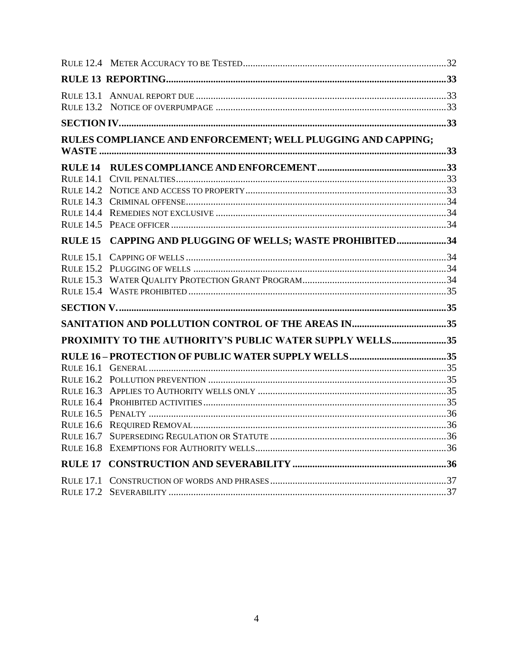| <b>RULE 13.1</b> |                                                              |  |
|------------------|--------------------------------------------------------------|--|
|                  |                                                              |  |
|                  | RULES COMPLIANCE AND ENFORCEMENT; WELL PLUGGING AND CAPPING; |  |
|                  |                                                              |  |
|                  |                                                              |  |
|                  |                                                              |  |
|                  |                                                              |  |
|                  |                                                              |  |
|                  | RULE 15 CAPPING AND PLUGGING OF WELLS; WASTE PROHIBITED34    |  |
|                  |                                                              |  |
|                  |                                                              |  |
|                  |                                                              |  |
|                  |                                                              |  |
|                  |                                                              |  |
|                  |                                                              |  |
|                  | PROXIMITY TO THE AUTHORITY'S PUBLIC WATER SUPPLY WELLS35     |  |
|                  |                                                              |  |
|                  |                                                              |  |
|                  |                                                              |  |
|                  |                                                              |  |
|                  |                                                              |  |
|                  |                                                              |  |
|                  |                                                              |  |
| <b>RULE 16.8</b> |                                                              |  |
| <b>RULE 17</b>   |                                                              |  |
|                  |                                                              |  |
|                  |                                                              |  |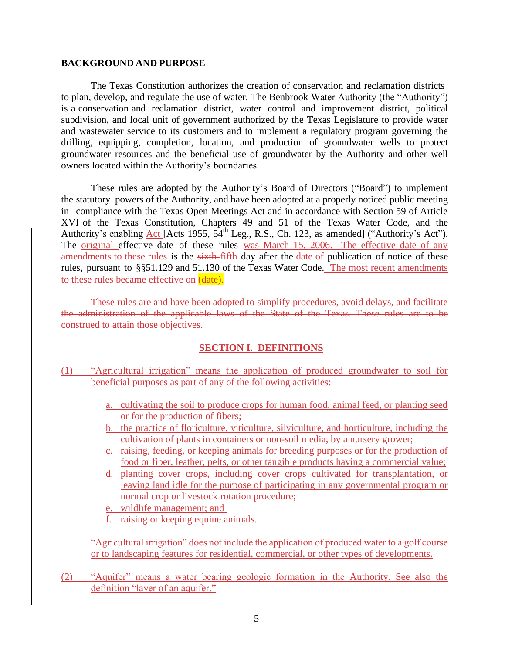#### <span id="page-4-0"></span>**BACKGROUND AND PURPOSE**

The Texas Constitution authorizes the creation of conservation and reclamation districts to plan, develop, and regulate the use of water. The Benbrook Water Authority (the "Authority") is a conservation and reclamation district, water control and improvement district, political subdivision, and local unit of government authorized by the Texas Legislature to provide water and wastewater service to its customers and to implement a regulatory program governing the drilling, equipping, completion, location, and production of groundwater wells to protect groundwater resources and the beneficial use of groundwater by the Authority and other well owners located within the Authority's boundaries.

These rules are adopted by the Authority's Board of Directors ("Board") to implement the statutory powers of the Authority, and have been adopted at a properly noticed public meeting in compliance with the Texas Open Meetings Act and in accordance with Section 59 of Article XVI of the Texas Constitution, Chapters 49 and 51 of the Texas Water Code, and the Authority's enabling Act [Acts 1955,  $54<sup>th</sup>$  Leg., R.S., Ch. 123, as amended] ("Authority's Act"). The original effective date of these rules was March 15, 2006. The effective date of any amendments to these rules is the sixth-fifth day after the date of publication of notice of these rules, pursuant to §§51.129 and 51.130 of the Texas Water Code. The most recent amendments to these rules became effective on (date).

These rules are and have been adopted to simplify procedures, avoid delays, and facilitate the administration of the applicable laws of the State of the Texas. These rules are to be construed to attain those objectives.

#### **SECTION I. DEFINITIONS**

- <span id="page-4-1"></span>(1) "Agricultural irrigation" means the application of produced groundwater to soil for beneficial purposes as part of any of the following activities:
	- a. cultivating the soil to produce crops for human food, animal feed, or planting seed or for the production of fibers;
	- b. the practice of floriculture, viticulture, silviculture, and horticulture, including the cultivation of plants in containers or non-soil media, by a nursery grower;
	- c. raising, feeding, or keeping animals for breeding purposes or for the production of food or fiber, leather, pelts, or other tangible products having a commercial value;
	- d. planting cover crops, including cover crops cultivated for transplantation, or leaving land idle for the purpose of participating in any governmental program or normal crop or livestock rotation procedure;
	- e. wildlife management; and
	- f. raising or keeping equine animals.

"Agricultural irrigation" does not include the application of produced water to a golf course or to landscaping features for residential, commercial, or other types of developments.

(2) "Aquifer" means a water bearing geologic formation in the Authority. See also the definition "layer of an aquifer."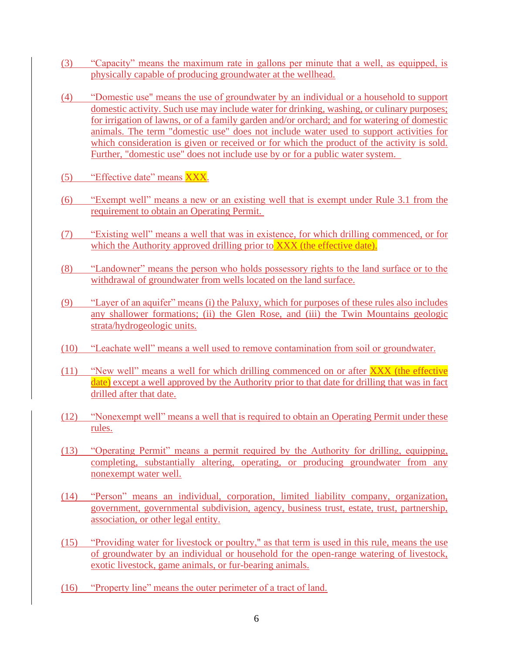- (3) "Capacity" means the maximum rate in gallons per minute that a well, as equipped, is physically capable of producing groundwater at the wellhead.
- (4) "Domestic use" means the use of groundwater by an individual or a household to support domestic activity. Such use may include water for drinking, washing, or culinary purposes; for irrigation of lawns, or of a family garden and/or orchard; and for watering of domestic animals. The term "domestic use" does not include water used to support activities for which consideration is given or received or for which the product of the activity is sold. Further, "domestic use" does not include use by or for a public water system.
- (5) "Effective date" means XXX.
- (6) "Exempt well" means a new or an existing well that is exempt under Rule 3.1 from the requirement to obtain an Operating Permit.
- (7) "Existing well" means a well that was in existence, for which drilling commenced, or for which the Authority approved drilling prior to XXX (the effective date).
- (8) "Landowner" means the person who holds possessory rights to the land surface or to the withdrawal of groundwater from wells located on the land surface.
- (9) "Layer of an aquifer" means (i) the Paluxy, which for purposes of these rules also includes any shallower formations; (ii) the Glen Rose, and (iii) the Twin Mountains geologic strata/hydrogeologic units.
- (10) "Leachate well" means a well used to remove contamination from soil or groundwater.
- (11) "New well" means a well for which drilling commenced on or after XXX (the effective date) except a well approved by the Authority prior to that date for drilling that was in fact drilled after that date.
- (12) "Nonexempt well" means a well that is required to obtain an Operating Permit under these rules.
- (13) "Operating Permit" means a permit required by the Authority for drilling, equipping, completing, substantially altering, operating, or producing groundwater from any nonexempt water well.
- (14) "Person" means an individual, corporation, limited liability company, organization, government, governmental subdivision, agency, business trust, estate, trust, partnership, association, or other legal entity.
- (15) "Providing water for livestock or poultry," as that term is used in this rule, means the use of groundwater by an individual or household for the open-range watering of livestock, exotic livestock, game animals, or fur-bearing animals.
- (16) "Property line" means the outer perimeter of a tract of land.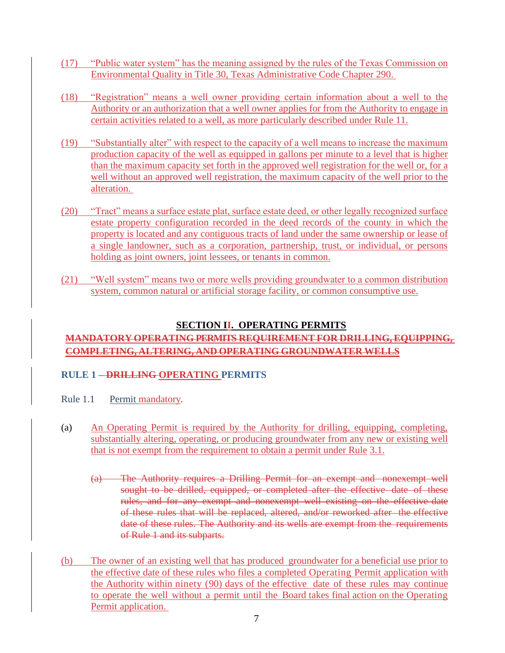- (17) "Public water system" has the meaning assigned by the rules of the Texas Commission on Environmental Quality in Title 30, Texas Administrative Code Chapter 290.
- (18) "Registration" means a well owner providing certain information about a well to the Authority or an authorization that a well owner applies for from the Authority to engage in certain activities related to a well, as more particularly described under Rule 11.
- (19) "Substantially alter" with respect to the capacity of a well means to increase the maximum production capacity of the well as equipped in gallons per minute to a level that is higher than the maximum capacity set forth in the approved well registration for the well or, for a well without an approved well registration, the maximum capacity of the well prior to the alteration.
- (20) "Tract" means a surface estate plat, surface estate deed, or other legally recognized surface estate property configuration recorded in the deed records of the county in which the property is located and any contiguous tracts of land under the same ownership or lease of a single landowner, such as a corporation, partnership, trust, or individual, or persons holding as joint owners, joint lessees, or tenants in common.
- (21) "Well system" means two or more wells providing groundwater to a common distribution system, common natural or artificial storage facility, or common consumptive use.

## **SECTION II. OPERATING PERMITS**

## <span id="page-6-0"></span>**MANDATORY OPERATING PERMITS REQUIREMENT FOR DRILLING, EQUIPPING, COMPLETING, ALTERING, AND OPERATING GROUNDWATER WELLS**

## <span id="page-6-1"></span>**RULE 1 – DRILLING OPERATING PERMITS**

- <span id="page-6-2"></span>Rule 1.1 Permit mandatory.
- (a) An Operating Permit is required by the Authority for drilling, equipping, completing, substantially altering, operating, or producing groundwater from any new or existing well that is not exempt from the requirement to obtain a permit under Rule 3.1.
	- (a) The Authority requires a Drilling Permit for an exempt and nonexempt well sought to be drilled, equipped, or completed after the effective date of these rules, and for any exempt and nonexempt well existing on the effective date of these rules that will be replaced, altered, and/or reworked after the effective date of these rules. The Authority and its wells are exempt from the requirements of Rule 1 and its subparts.
- (b) The owner of an existing well that has produced groundwater for a beneficial use prior to the effective date of these rules who files a completed Operating Permit application with the Authority within ninety (90) days of the effective date of these rules may continue to operate the well without a permit until the Board takes final action on the Operating Permit application.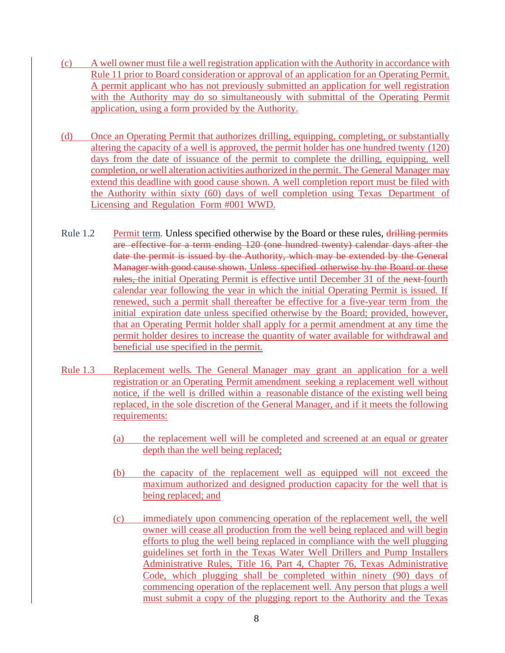- (c) A well owner must file a well registration application with the Authority in accordance with Rule 11 prior to Board consideration or approval of an application for an Operating Permit. A permit applicant who has not previously submitted an application for well registration with the Authority may do so simultaneously with submittal of the Operating Permit application, using a form provided by the Authority.
- (d) Once an Operating Permit that authorizes drilling, equipping, completing, or substantially altering the capacity of a well is approved, the permit holder has one hundred twenty (120) days from the date of issuance of the permit to complete the drilling, equipping, well completion, or well alteration activities authorized in the permit. The General Manager may extend this deadline with good cause shown. A well completion report must be filed with the Authority within sixty (60) days of well completion using Texas Department of Licensing and Regulation Form #001 WWD.
- <span id="page-7-0"></span>Rule 1.2 Permit term. Unless specified otherwise by the Board or these rules, drilling permits are effective for a term ending 120 (one hundred twenty) calendar days after the date the permit is issued by the Authority, which may be extended by the General Manager with good cause shown. Unless specified otherwise by the Board or these rules, the initial Operating Permit is effective until December 31 of the next fourth calendar year following the year in which the initial Operating Permit is issued. If renewed, such a permit shall thereafter be effective for a five-year term from the initial expiration date unless specified otherwise by the Board; provided, however, that an Operating Permit holder shall apply for a permit amendment at any time the permit holder desires to increase the quantity of water available for withdrawal and beneficial use specified in the permit.
- <span id="page-7-1"></span>Rule 1.3 Replacement wells. The General Manager may grant an application for a well registration or an Operating Permit amendment seeking a replacement well without notice, if the well is drilled within a reasonable distance of the existing well being replaced, in the sole discretion of the General Manager, and if it meets the following requirements:
	- (a) the replacement well will be completed and screened at an equal or greater depth than the well being replaced;
	- (b) the capacity of the replacement well as equipped will not exceed the maximum authorized and designed production capacity for the well that is being replaced; and
	- (c) immediately upon commencing operation of the replacement well, the well owner will cease all production from the well being replaced and will begin efforts to plug the well being replaced in compliance with the well plugging guidelines set forth in the Texas Water Well Drillers and Pump Installers Administrative Rules, Title 16, Part 4, Chapter 76, Texas Administrative Code, which plugging shall be completed within ninety (90) days of commencing operation of the replacement well. Any person that plugs a well must submit a copy of the plugging report to the Authority and the Texas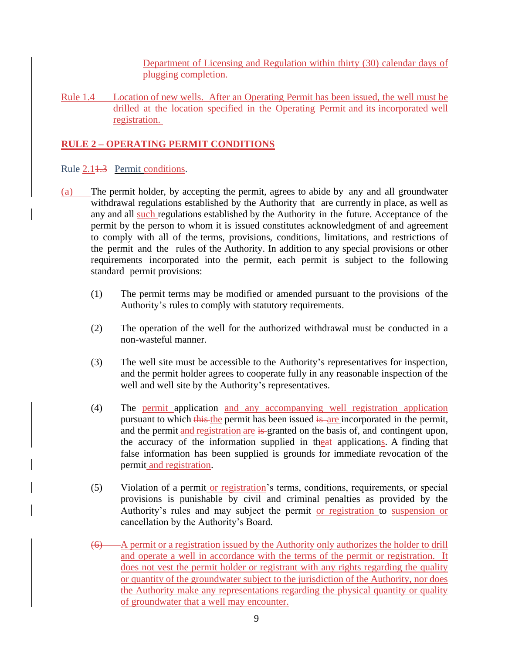Department of Licensing and Regulation within thirty (30) calendar days of plugging completion.

<span id="page-8-0"></span>Rule 1.4 Location of new wells. After an Operating Permit has been issued, the well must be drilled at the location specified in the Operating Permit and its incorporated well registration.

## <span id="page-8-1"></span>**RULE 2 – OPERATING PERMIT CONDITIONS**

## <span id="page-8-2"></span>Rule 2.1<del>1.3</del> Permit conditions.

- (a) The permit holder, by accepting the permit, agrees to abide by any and all groundwater withdrawal regulations established by the Authority that are currently in place, as well as any and all such regulations established by the Authority in the future. Acceptance of the permit by the person to whom it is issued constitutes acknowledgment of and agreement to comply with all of the terms, provisions, conditions, limitations, and restrictions of the permit and the rules of the Authority. In addition to any special provisions or other requirements incorporated into the permit, each permit is subject to the following standard permit provisions:
	- (1) The permit terms may be modified or amended pursuant to the provisions of the Authority's rules to comply with statutory requirements.
	- (2) The operation of the well for the authorized withdrawal must be conducted in a non-wasteful manner.
	- (3) The well site must be accessible to the Authority's representatives for inspection, and the permit holder agrees to cooperate fully in any reasonable inspection of the well and well site by the Authority's representatives.
	- (4) The permit application and any accompanying well registration application pursuant to which this the permit has been issued is are incorporated in the permit, and the permit and registration are is granted on the basis of, and contingent upon, the accuracy of the information supplied in theat applications. A finding that false information has been supplied is grounds for immediate revocation of the permit and registration.
	- (5) Violation of a permit or registration's terms, conditions, requirements, or special provisions is punishable by civil and criminal penalties as provided by the Authority's rules and may subject the permit or registration to suspension or cancellation by the Authority's Board.
	- (6) A permit or a registration issued by the Authority only authorizes the holder to drill and operate a well in accordance with the terms of the permit or registration. It does not vest the permit holder or registrant with any rights regarding the quality or quantity of the groundwater subject to the jurisdiction of the Authority, nor does the Authority make any representations regarding the physical quantity or quality of groundwater that a well may encounter.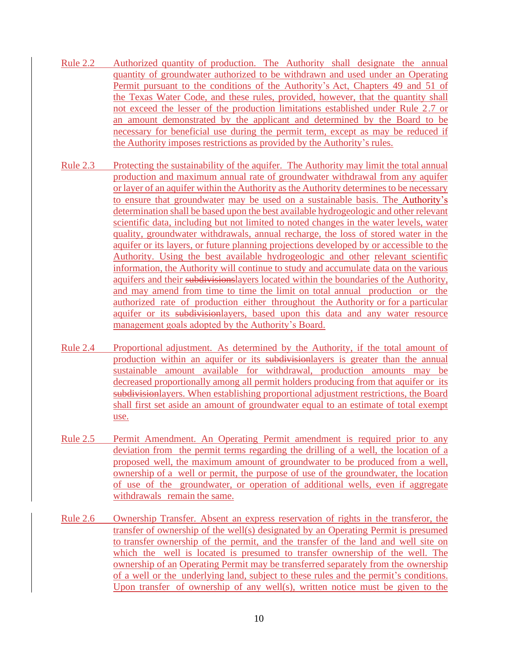- <span id="page-9-0"></span>Rule 2.2 Authorized quantity of production. The Authority shall designate the annual quantity of groundwater authorized to be withdrawn and used under an Operating Permit pursuant to the conditions of the Authority's Act, Chapters 49 and 51 of the Texas Water Code, and these rules, provided, however, that the quantity shall not exceed the lesser of the production limitations established under Rule 2.7 or an amount demonstrated by the applicant and determined by the Board to be necessary for beneficial use during the permit term, except as may be reduced if the Authority imposes restrictions as provided by the Authority's rules.
- <span id="page-9-1"></span>Rule 2.3 Protecting the sustainability of the aquifer. The Authority may limit the total annual production and maximum annual rate of groundwater withdrawal from any aquifer or layer of an aquifer within the Authority as the Authority determines to be necessary to ensure that groundwater may be used on a sustainable basis. The Authority's determination shall be based upon the best available hydrogeologic and other relevant scientific data, including but not limited to noted changes in the water levels, water quality, groundwater withdrawals, annual recharge, the loss of stored water in the aquifer or its layers, or future planning projections developed by or accessible to the Authority. Using the best available hydrogeologic and other relevant scientific information, the Authority will continue to study and accumulate data on the various aquifers and their subdivisionslayers located within the boundaries of the Authority, and may amend from time to time the limit on total annual production or the authorized rate of production either throughout the Authority or for a particular aquifer or its subdivisionlayers, based upon this data and any water resource management goals adopted by the Authority's Board.
- <span id="page-9-2"></span>Rule 2.4 Proportional adjustment. As determined by the Authority, if the total amount of production within an aquifer or its subdivisionlayers is greater than the annual sustainable amount available for withdrawal, production amounts may be decreased proportionally among all permit holders producing from that aquifer or its subdivisionlayers. When establishing proportional adjustment restrictions, the Board shall first set aside an amount of groundwater equal to an estimate of total exempt use.
- <span id="page-9-3"></span>Rule 2.5 Permit Amendment. An Operating Permit amendment is required prior to any deviation from the permit terms regarding the drilling of a well, the location of a proposed well, the maximum amount of groundwater to be produced from a well, ownership of a well or permit, the purpose of use of the groundwater, the location of use of the groundwater, or operation of additional wells, even if aggregate withdrawals remain the same.
- <span id="page-9-4"></span>Rule 2.6 Ownership Transfer. Absent an express reservation of rights in the transferor, the transfer of ownership of the well(s) designated by an Operating Permit is presumed to transfer ownership of the permit, and the transfer of the land and well site on which the well is located is presumed to transfer ownership of the well. The ownership of an Operating Permit may be transferred separately from the ownership of a well or the underlying land, subject to these rules and the permit's conditions. Upon transfer of ownership of any well(s), written notice must be given to the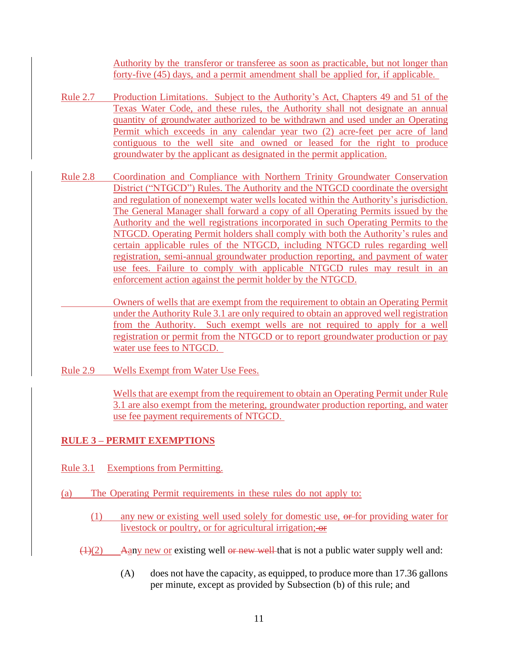Authority by the transferor or transferee as soon as practicable, but not longer than forty-five (45) days, and a permit amendment shall be applied for, if applicable.

- <span id="page-10-0"></span>Rule 2.7 Production Limitations. Subject to the Authority's Act, Chapters 49 and 51 of the Texas Water Code, and these rules, the Authority shall not designate an annual quantity of groundwater authorized to be withdrawn and used under an Operating Permit which exceeds in any calendar year two (2) acre-feet per acre of land contiguous to the well site and owned or leased for the right to produce groundwater by the applicant as designated in the permit application.
- <span id="page-10-1"></span>Rule 2.8 Coordination and Compliance with Northern Trinity Groundwater Conservation District ("NTGCD") Rules. The Authority and the NTGCD coordinate the oversight and regulation of nonexempt water wells located within the Authority's jurisdiction. The General Manager shall forward a copy of all Operating Permits issued by the Authority and the well registrations incorporated in such Operating Permits to the NTGCD. Operating Permit holders shall comply with both the Authority's rules and certain applicable rules of the NTGCD, including NTGCD rules regarding well registration, semi-annual groundwater production reporting, and payment of water use fees. Failure to comply with applicable NTGCD rules may result in an enforcement action against the permit holder by the NTGCD.

Owners of wells that are exempt from the requirement to obtain an Operating Permit under the Authority Rule 3.1 are only required to obtain an approved well registration from the Authority. Such exempt wells are not required to apply for a well registration or permit from the NTGCD or to report groundwater production or pay water use fees to NTGCD.

<span id="page-10-2"></span>Rule 2.9 Wells Exempt from Water Use Fees.

Wells that are exempt from the requirement to obtain an Operating Permit under Rule 3.1 are also exempt from the metering, groundwater production reporting, and water use fee payment requirements of NTGCD.

#### <span id="page-10-3"></span>**RULE 3 – PERMIT EXEMPTIONS**

- <span id="page-10-4"></span>Rule 3.1 Exemptions from Permitting.
- (a) The Operating Permit requirements in these rules do not apply to:
	- (1) any new or existing well used solely for domestic use, or for providing water for livestock or poultry, or for agricultural irrigation;  $\Theta$
	- $(1)(2)$  Aany new or existing well or new well that is not a public water supply well and:
		- (A) does not have the capacity, as equipped, to produce more than 17.36 gallons per minute, except as provided by Subsection (b) of this rule; and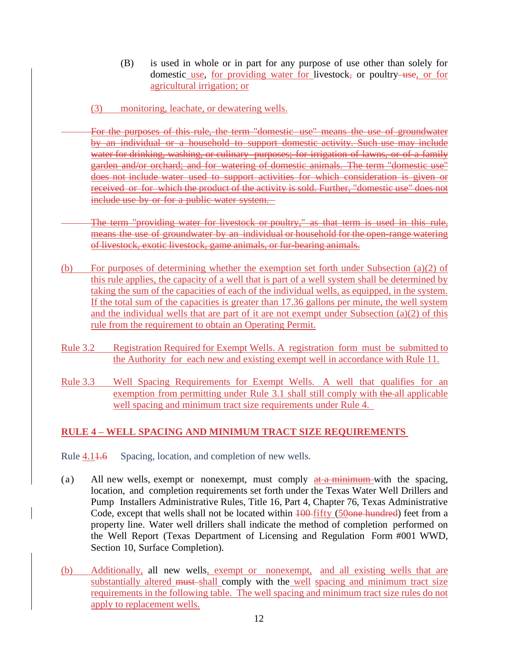- (B) is used in whole or in part for any purpose of use other than solely for domestic use, for providing water for livestock, or poultry-use, or for agricultural irrigation; or
- (3) monitoring, leachate, or dewatering wells.
- For the purposes of this rule, the term "domestic use" means the use of groundwater by an individual or a household to support domestic activity. Such use may include water for drinking, washing, or culinary purposes; for irrigation of lawns, or of a family garden and/or orchard; and for watering of domestic animals. The term "domestic use" does not include water used to support activities for which consideration is given or received or for which the product of the activity is sold. Further, "domestic use" does not include use by or for a public water system.
- The term "providing water for livestock or poultry," as that term is used in this rule, means the use of groundwater by an individual or household for the open-range watering of livestock, exotic livestock, game animals, or fur-bearing animals.
- (b) For purposes of determining whether the exemption set forth under Subsection (a)(2) of this rule applies, the capacity of a well that is part of a well system shall be determined by taking the sum of the capacities of each of the individual wells, as equipped, in the system. If the total sum of the capacities is greater than 17.36 gallons per minute, the well system and the individual wells that are part of it are not exempt under Subsection (a)(2) of this rule from the requirement to obtain an Operating Permit.
- <span id="page-11-0"></span>Rule 3.2 Registration Required for Exempt Wells. A registration form must be submitted to the Authority for each new and existing exempt well in accordance with Rule 11.
- <span id="page-11-1"></span>Rule 3.3 Well Spacing Requirements for Exempt Wells. A well that qualifies for an exemption from permitting under Rule 3.1 shall still comply with the all applicable well spacing and minimum tract size requirements under Rule 4.

## <span id="page-11-2"></span>**RULE 4 – WELL SPACING AND MINIMUM TRACT SIZE REQUIREMENTS**

- <span id="page-11-3"></span>Rule 4.14.6 Spacing, location, and completion of new wells.
- (a) All new wells, exempt or nonexempt, must comply  $at a minimum$  with the spacing, location, and completion requirements set forth under the Texas Water Well Drillers and Pump Installers Administrative Rules, Title 16, Part 4, Chapter 76, Texas Administrative Code, except that wells shall not be located within  $100$ -fifty (50one hundred) feet from a property line. Water well drillers shall indicate the method of completion performed on the Well Report (Texas Department of Licensing and Regulation Form #001 WWD, Section 10, Surface Completion).
- (b) Additionally, all new wells, exempt or nonexempt, and all existing wells that are substantially altered must-shall comply with the well spacing and minimum tract size requirements in the following table. The well spacing and minimum tract size rules do not apply to replacement wells.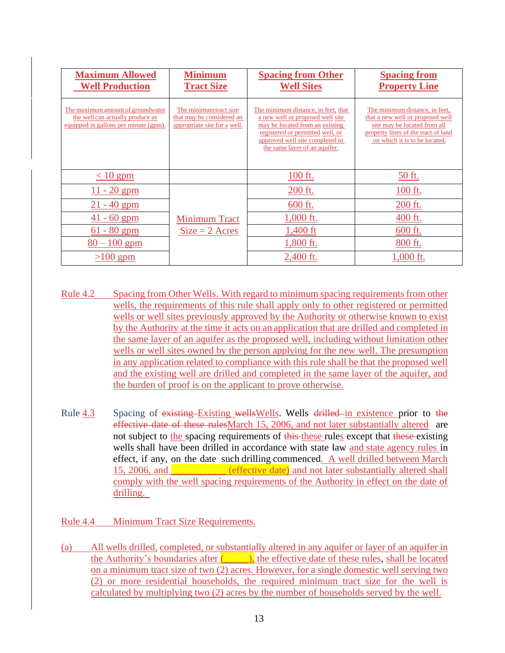| <b>Maximum Allowed</b><br><b>Well Production</b>                                                               | <b>Minimum</b><br><b>Tract Size</b>                                                 | <b>Spacing from Other</b><br><b>Well Sites</b>                                                                                                                                                                     | <b>Spacing from</b><br><b>Property Line</b>                                                                                                                                |
|----------------------------------------------------------------------------------------------------------------|-------------------------------------------------------------------------------------|--------------------------------------------------------------------------------------------------------------------------------------------------------------------------------------------------------------------|----------------------------------------------------------------------------------------------------------------------------------------------------------------------------|
| The maximum amount of groundwater<br>the well can actually produce as<br>equipped in gallons per minute (gpm). | The minimum tract size<br>that may be considered an<br>appropriate site for a well. | The minimum distance, in feet, that<br>a new well or proposed well site<br>may be located from an existing<br>registered or permitted well, or<br>approved well site completed in<br>the same layer of an aquifer. | The minimum distance, in feet,<br>that a new well or proposed well<br>site may be located from all<br>property lines of the tract of land<br>on which it is to be located. |
| $\leq 10$ gpm                                                                                                  |                                                                                     | 100 ft.                                                                                                                                                                                                            | 50 ft.                                                                                                                                                                     |
| $11 - 20$ gpm                                                                                                  |                                                                                     | 200 ft.                                                                                                                                                                                                            | 100 ft.                                                                                                                                                                    |
| $-40$ gpm                                                                                                      |                                                                                     | 600 ft.                                                                                                                                                                                                            | 200 ft.                                                                                                                                                                    |
| $-60$ gpm<br>41                                                                                                | <b>Minimum Tract</b>                                                                | 1,000 ft.                                                                                                                                                                                                          | 400 ft.                                                                                                                                                                    |
| $-80$ gpm<br>61                                                                                                | $Size = 2$ Acres                                                                    | 1,400 ft                                                                                                                                                                                                           | 600 ft.                                                                                                                                                                    |
| $80 - 100$ gpm                                                                                                 |                                                                                     | 1,800 ft.                                                                                                                                                                                                          | 800 ft.                                                                                                                                                                    |
| $>100$ gpm                                                                                                     |                                                                                     | 2,400 ft.                                                                                                                                                                                                          | 1,000 ft.                                                                                                                                                                  |

- <span id="page-12-0"></span>Rule 4.2 Spacing from Other Wells. With regard to minimum spacing requirements from other wells, the requirements of this rule shall apply only to other registered or permitted wells or well sites previously approved by the Authority or otherwise known to exist by the Authority at the time it acts on an application that are drilled and completed in the same layer of an aquifer as the proposed well, including without limitation other wells or well sites owned by the person applying for the new well. The presumption in any application related to compliance with this rule shall be that the proposed well and the existing well are drilled and completed in the same layer of the aquifer, and the burden of proof is on the applicant to prove otherwise.
- <span id="page-12-1"></span>Rule 4.3 Spacing of existing Existing wellsWells. Wells drilled in existence prior to the effective date of these rulesMarch 15, 2006, and not later substantially altered are not subject to the spacing requirements of this these rules except that these existing wells shall have been drilled in accordance with state law and state agency rules in effect, if any, on the date such drilling commenced. A well drilled between March 15, 2006, and **Exercía in the effective date**) and not later substantially altered shall comply with the well spacing requirements of the Authority in effect on the date of drilling.

## <span id="page-12-2"></span>Rule 4.4 Minimum Tract Size Requirements.

(a) All wells drilled, completed, or substantially altered in any aquifer or layer of an aquifer in the Authority's boundaries after  $($ ,  $)$ , the effective date of these rules, shall be located on a minimum tract size of two (2) acres. However, for a single domestic well serving two (2) or more residential households, the required minimum tract size for the well is calculated by multiplying two (2) acres by the number of households served by the well.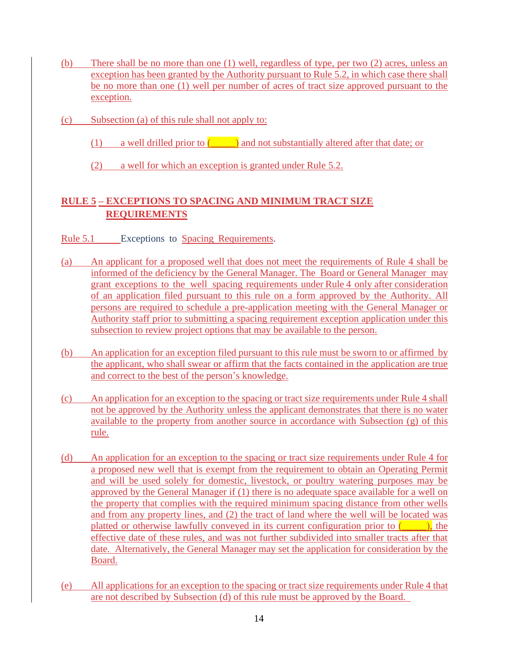- (b) There shall be no more than one (1) well, regardless of type, per two (2) acres, unless an exception has been granted by the Authority pursuant to Rule 5.2, in which case there shall be no more than one (1) well per number of acres of tract size approved pursuant to the exception.
- (c) Subsection (a) of this rule shall not apply to:
	- (1) a well drilled prior to  $($  and not substantially altered after that date; or
	- (2) a well for which an exception is granted under Rule 5.2.

## <span id="page-13-1"></span><span id="page-13-0"></span>**RULE 5 – EXCEPTIONS TO SPACING AND MINIMUM TRACT SIZE REQUIREMENTS**

- <span id="page-13-2"></span>Rule 5.1 Exceptions to Spacing Requirements.
- (a) An applicant for a proposed well that does not meet the requirements of Rule 4 shall be informed of the deficiency by the General Manager. The Board or General Manager may grant exceptions to the well spacing requirements under Rule 4 only after consideration of an application filed pursuant to this rule on a form approved by the Authority. All persons are required to schedule a pre-application meeting with the General Manager or Authority staff prior to submitting a spacing requirement exception application under this subsection to review project options that may be available to the person.
- (b) An application for an exception filed pursuant to this rule must be sworn to or affirmed by the applicant, who shall swear or affirm that the facts contained in the application are true and correct to the best of the person's knowledge.
- (c) An application for an exception to the spacing or tract size requirements under Rule 4 shall not be approved by the Authority unless the applicant demonstrates that there is no water available to the property from another source in accordance with Subsection (g) of this rule.
- (d) An application for an exception to the spacing or tract size requirements under Rule 4 for a proposed new well that is exempt from the requirement to obtain an Operating Permit and will be used solely for domestic, livestock, or poultry watering purposes may be approved by the General Manager if (1) there is no adequate space available for a well on the property that complies with the required minimum spacing distance from other wells and from any property lines, and (2) the tract of land where the well will be located was platted or otherwise lawfully conveyed in its current configuration prior to  $($ , the effective date of these rules, and was not further subdivided into smaller tracts after that date. Alternatively, the General Manager may set the application for consideration by the Board.
- (e) All applications for an exception to the spacing or tract size requirements under Rule 4 that are not described by Subsection (d) of this rule must be approved by the Board.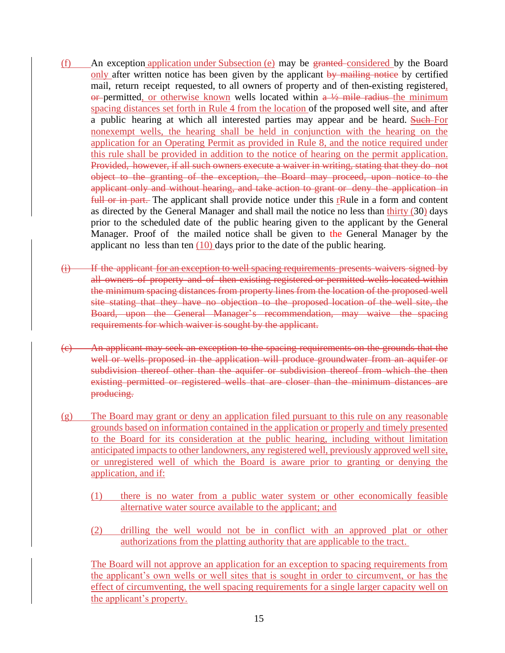- (f) An exception application under Subsection (e) may be granted considered by the Board only after written notice has been given by the applicant by mailing notice by certified mail, return receipt requested, to all owners of property and of then-existing registered,  $\theta$  permitted, or otherwise known wells located within  $a \frac{1}{2}$  mile radius the minimum spacing distances set forth in Rule 4 from the location of the proposed well site, and after a public hearing at which all interested parties may appear and be heard. Such For nonexempt wells, the hearing shall be held in conjunction with the hearing on the application for an Operating Permit as provided in Rule 8, and the notice required under this rule shall be provided in addition to the notice of hearing on the permit application. Provided, however, if all such owners execute a waiver in writing, stating that they do not object to the granting of the exception, the Board may proceed, upon notice to the applicant only and without hearing, and take action to grant or deny the application in full or in part. The applicant shall provide notice under this r<sub>Rule</sub> in a form and content as directed by the General Manager and shall mail the notice no less than thirty (30) days prior to the scheduled date of the public hearing given to the applicant by the General Manager. Proof of the mailed notice shall be given to the General Manager by the applicant no less than ten  $(10)$  days prior to the date of the public hearing.
- (i) If the applicant for an exception to well spacing requirements presents waivers signed by all owners of property and of then-existing registered or permitted wells located within the minimum spacing distances from property lines from the location of the proposed well site stating that they have no objection to the proposed location of the well site, the Board, upon the General Manager's recommendation, may waive the spacing requirements for which waiver is sought by the applicant.
- (c) An applicant may seek an exception to the spacing requirements on the grounds that the well or wells proposed in the application will produce groundwater from an aquifer or subdivision thereof other than the aquifer or subdivision thereof from which the then existing permitted or registered wells that are closer than the minimum distances are producing.
- (g) The Board may grant or deny an application filed pursuant to this rule on any reasonable grounds based on information contained in the application or properly and timely presented to the Board for its consideration at the public hearing, including without limitation anticipated impacts to other landowners, any registered well, previously approved well site, or unregistered well of which the Board is aware prior to granting or denying the application, and if:
	- (1) there is no water from a public water system or other economically feasible alternative water source available to the applicant; and
	- (2) drilling the well would not be in conflict with an approved plat or other authorizations from the platting authority that are applicable to the tract.

The Board will not approve an application for an exception to spacing requirements from the applicant's own wells or well sites that is sought in order to circumvent, or has the effect of circumventing, the well spacing requirements for a single larger capacity well on the applicant's property.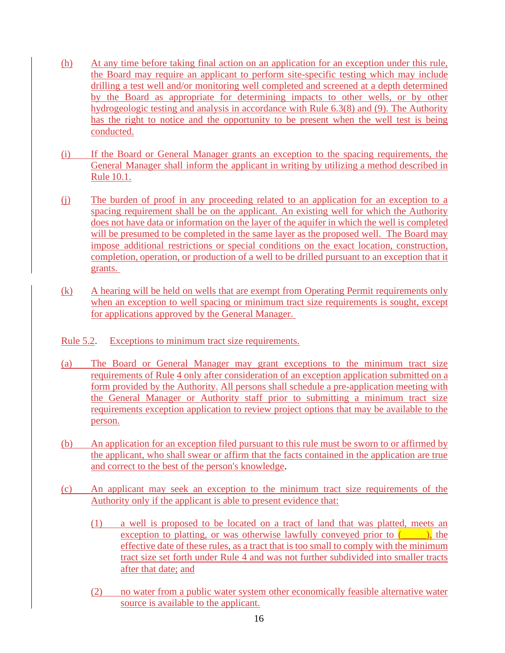- (h) At any time before taking final action on an application for an exception under this rule, the Board may require an applicant to perform site-specific testing which may include drilling a test well and/or monitoring well completed and screened at a depth determined by the Board as appropriate for determining impacts to other wells, or by other hydrogeologic testing and analysis in accordance with Rule 6.3(8) and (9). The Authority has the right to notice and the opportunity to be present when the well test is being conducted.
- (i) If the Board or General Manager grants an exception to the spacing requirements, the General Manager shall inform the applicant in writing by utilizing a method described in Rule 10.1.
- (j) The burden of proof in any proceeding related to an application for an exception to a spacing requirement shall be on the applicant. An existing well for which the Authority does not have data or information on the layer of the aquifer in which the well is completed will be presumed to be completed in the same layer as the proposed well. The Board may impose additional restrictions or special conditions on the exact location, construction, completion, operation, or production of a well to be drilled pursuant to an exception that it grants.
- (k) A hearing will be held on wells that are exempt from Operating Permit requirements only when an exception to well spacing or minimum tract size requirements is sought, except for applications approved by the General Manager.
- <span id="page-15-0"></span>Rule 5.2. Exceptions to minimum tract size requirements.
- (a) The Board or General Manager may grant exceptions to the minimum tract size requirements of Rule 4 only after consideration of an exception application submitted on a form provided by the Authority. All persons shall schedule a pre-application meeting with the General Manager or Authority staff prior to submitting a minimum tract size requirements exception application to review project options that may be available to the person.
- (b) An application for an exception filed pursuant to this rule must be sworn to or affirmed by the applicant, who shall swear or affirm that the facts contained in the application are true and correct to the best of the person's knowledge.
- (c) An applicant may seek an exception to the minimum tract size requirements of the Authority only if the applicant is able to present evidence that:
	- (1) a well is proposed to be located on a tract of land that was platted, meets an exception to platting, or was otherwise lawfully conveyed prior to  $($ , the effective date of these rules, as a tract that is too small to comply with the minimum tract size set forth under Rule 4 and was not further subdivided into smaller tracts after that date; and
	- (2) no water from a public water system other economically feasible alternative water source is available to the applicant.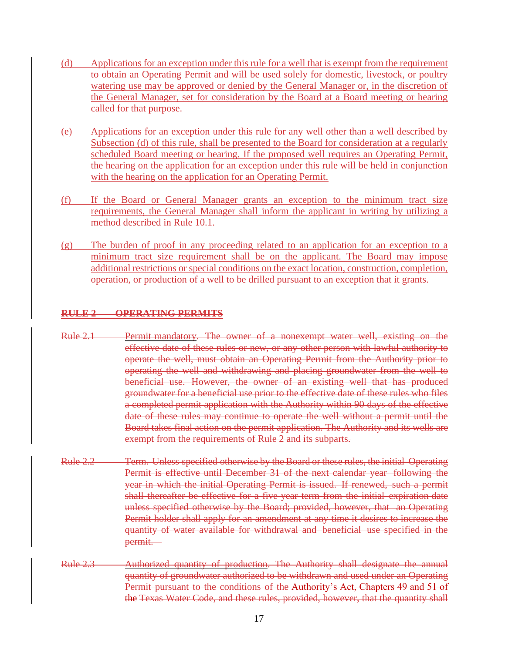- (d) Applications for an exception under this rule for a well that is exempt from the requirement to obtain an Operating Permit and will be used solely for domestic, livestock, or poultry watering use may be approved or denied by the General Manager or, in the discretion of the General Manager, set for consideration by the Board at a Board meeting or hearing called for that purpose.
- (e) Applications for an exception under this rule for any well other than a well described by Subsection (d) of this rule, shall be presented to the Board for consideration at a regularly scheduled Board meeting or hearing. If the proposed well requires an Operating Permit, the hearing on the application for an exception under this rule will be held in conjunction with the hearing on the application for an Operating Permit.
- (f) If the Board or General Manager grants an exception to the minimum tract size requirements, the General Manager shall inform the applicant in writing by utilizing a method described in Rule 10.1.
- (g) The burden of proof in any proceeding related to an application for an exception to a minimum tract size requirement shall be on the applicant. The Board may impose additional restrictions or special conditions on the exact location, construction, completion, operation, or production of a well to be drilled pursuant to an exception that it grants.

## **RULE 2 OPERATING PERMITS**

- Rule 2.1 Permit mandatory. The owner of a nonexempt water well, existing on the effective date of these rules or new, or any other person with lawful authority to operate the well, must obtain an Operating Permit from the Authority prior to operating the well and withdrawing and placing groundwater from the well to beneficial use. However, the owner of an existing well that has produced groundwater for a beneficial use prior to the effective date of these rules who files a completed permit application with the Authority within 90 days of the effective date of these rules may continue to operate the well without a permit until the Board takes final action on the permit application. The Authority and its wells are exempt from the requirements of Rule 2 and its subparts.
- Rule 2.2 Term. Unless specified otherwise by the Board or these rules, the initial Operating Permit is effective until December 31 of the next calendar year following the year in which the initial Operating Permit is issued. If renewed, such a permit shall thereafter be effective for a five-year term from the initial expiration date unless specified otherwise by the Board; provided, however, that an Operating Permit holder shall apply for an amendment at any time it desires to increase the quantity of water available for withdrawal and beneficial use specified in the permit.
- Rule 2.3 Authorized quantity of production. The Authority shall designate the annual quantity of groundwater authorized to be withdrawn and used under an Operating Permit pursuant to the conditions of the Authority's Act, Chapters 49 and 51 of the Texas Water Code, and these rules, provided, however, that the quantity shall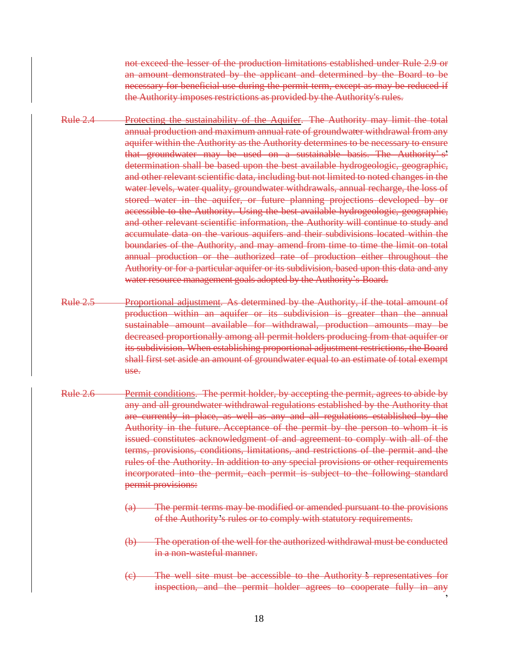not exceed the lesser of the production limitations established under Rule 2.9 or an amount demonstrated by the applicant and determined by the Board to be necessary for beneficial use during the permit term, except as may be reduced if the Authority imposes restrictions as provided by the Authority's rules.

- Rule 2.4 Protecting the sustainability of the Aquifer. The Authority may limit the total annual production and maximum annual rate of groundwater withdrawal from any aquifer within the Authority as the Authority determines to be necessary to ensure that groundwater may be used on a sustainable basis. The Authority' s determination shall be based upon the best available hydrogeologic, geographic, and other relevant scientific data, including but not limited to noted changes in the water levels, water quality, groundwater withdrawals, annual recharge, the loss of stored water in the aquifer, or future planning projections developed by or accessible to the Authority. Using the best available hydrogeologic, geographic, and other relevant scientific information, the Authority will continue to study and accumulate data on the various aquifers and their subdivisions located within the boundaries of the Authority, and may amend from time to time the limit on total annual production or the authorized rate of production either throughout the Authority or for a particular aquifer or its subdivision, based upon this data and any water resource management goals adopted by the Authority's Board.
- Rule 2.5 Proportional adjustment. As determined by the Authority, if the total amount of production within an aquifer or its subdivision is greater than the annual sustainable amount available for withdrawal, production amounts may be decreased proportionally among all permit holders producing from that aquifer or its subdivision. When establishing proportional adjustment restrictions, the Board shall first set aside an amount of groundwater equal to an estimate of total exempt use.
- Rule 2.6 Permit conditions. The permit holder, by accepting the permit, agrees to abide by any and all groundwater withdrawal regulations established by the Authority that are currently in place, as well as any and all regulations established by the Authority in the future. Acceptance of the permit by the person to whom it is issued constitutes acknowledgment of and agreement to comply with all of the terms, provisions, conditions, limitations, and restrictions of the permit and the rules of the Authority. In addition to any special provisions or other requirements incorporated into the permit, each permit is subject to the following standard permit provisions:
	- (a) The permit terms may be modified or amended pursuant to the provisions of the Authority's rules or to comply with statutory requirements.
	- (b) The operation of the well for the authorized withdrawal must be conducted in a non-wasteful manner.
	- (c) The well site must be accessible to the Authority s representatives for inspection, and the permit holder agrees to cooperate fully in any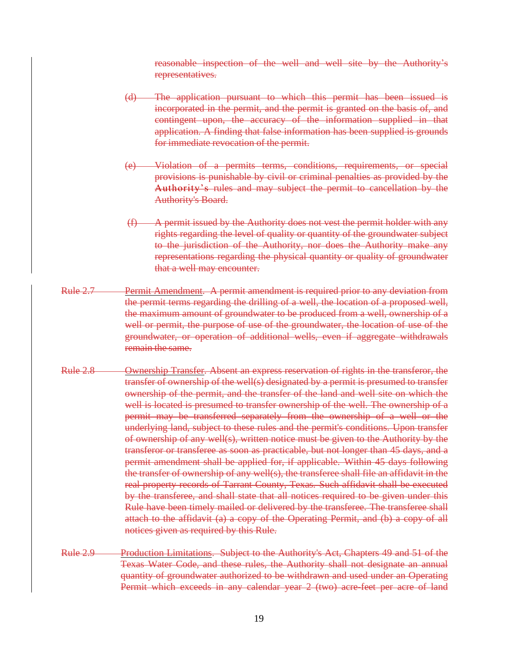reasonable inspection of the well and well site by the Authority's representatives.

- (d) The application pursuant to which this permit has been issued is incorporated in the permit, and the permit is granted on the basis of, and contingent upon, the accuracy of the information supplied in that application. A finding that false information has been supplied is grounds for immediate revocation of the permit.
- (e) Violation of a permits terms, conditions, requirements, or special provisions is punishable by civil or criminal penalties as provided by the Authority's rules and may subject the permit to cancellation by the Authority's Board.
- (f) A permit issued by the Authority does not vest the permit holder with any rights regarding the level of quality or quantity of the groundwater subject to the jurisdiction of the Authority, nor does the Authority make any representations regarding the physical quantity or quality of groundwater that a well may encounter.
- Rule 2.7 Permit Amendment. A permit amendment is required prior to any deviation from the permit terms regarding the drilling of a well, the location of a proposed well, the maximum amount of groundwater to be produced from a well, ownership of a well or permit, the purpose of use of the groundwater, the location of use of the groundwater, or operation of additional wells, even if aggregate withdrawals remain the same.
- Rule 2.8 Ownership Transfer. Absent an express reservation of rights in the transferor, the transfer of ownership of the well(s) designated by a permit is presumed to transfer ownership of the permit, and the transfer of the land and well site on which the well is located is presumed to transfer ownership of the well. The ownership of a permit may be transferred separately from the ownership of a well or the underlying land, subject to these rules and the permit's conditions. Upon transfer of ownership of any well(s), written notice must be given to the Authority by the transferor or transferee as soon as practicable, but not longer than 45 days, and a permit amendment shall be applied for, if applicable. Within 45 days following the transfer of ownership of any well(s), the transferee shall file an affidavit in the real property records of Tarrant County, Texas. Such affidavit shall be executed by the transferee, and shall state that all notices required to be given under this Rule have been timely mailed or delivered by the transferee. The transferee shall attach to the affidavit (a) a copy of the Operating Permit, and (b) a copy of all notices given as required by this Rule.
- Rule 2.9 Production Limitations. Subject to the Authority's Act, Chapters 49 and 51 of the Texas Water Code, and these rules, the Authority shall not designate an annual quantity of groundwater authorized to be withdrawn and used under an Operating Permit which exceeds in any calendar year 2 (two) acre feet per acre of land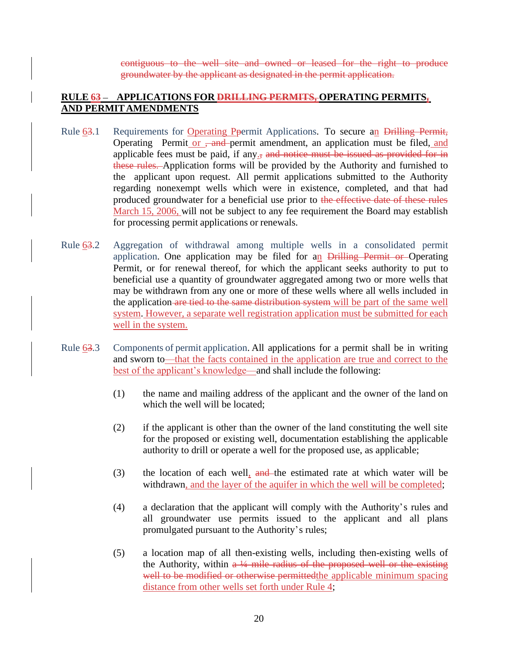contiguous to the well site and owned or leased for the right to produce groundwater by the applicant as designated in the permit application.

## <span id="page-19-0"></span>**RULE 63 APPLICATIONS FOR DRILLING PERMITS, OPERATING PERMITS, AND PERMITAMENDMENTS**

- <span id="page-19-1"></span>Rule 63.1 Requirements for Operating Ppermit Applications. To secure an Drilling Permit, Operating Permit or <del>, and</del> permit amendment, an application must be filed, and applicable fees must be paid, if any $\frac{1}{x}$  and notice must be issued as provided for in these rules. Application forms will be provided by the Authority and furnished to the applicant upon request. All permit applications submitted to the Authority regarding nonexempt wells which were in existence, completed, and that had produced groundwater for a beneficial use prior to the effective date of these rules March 15, 2006, will not be subject to any fee requirement the Board may establish for processing permit applications or renewals.
- <span id="page-19-2"></span>Rule 63.2 Aggregation of withdrawal among multiple wells in a consolidated permit application. One application may be filed for an Drilling Permit or Operating Permit, or for renewal thereof, for which the applicant seeks authority to put to beneficial use a quantity of groundwater aggregated among two or more wells that may be withdrawn from any one or more of these wells where all wells included in the application are tied to the same distribution system will be part of the same well system. However, a separate well registration application must be submitted for each well in the system.
- <span id="page-19-3"></span>Rule 63.3 Components of permit application. All applications for a permit shall be in writing and sworn to—that the facts contained in the application are true and correct to the best of the applicant's knowledge—and shall include the following:
	- (1) the name and mailing address of the applicant and the owner of the land on which the well will be located:
	- (2) if the applicant is other than the owner of the land constituting the well site for the proposed or existing well, documentation establishing the applicable authority to drill or operate a well for the proposed use, as applicable;
	- (3) the location of each well, and the estimated rate at which water will be withdrawn, and the layer of the aquifer in which the well will be completed;
	- (4) a declaration that the applicant will comply with the Authority's rules and all groundwater use permits issued to the applicant and all plans promulgated pursuant to the Authority's rules;
	- (5) a location map of all then-existing wells, including then-existing wells of the Authority, within  $a \frac{1}{4}$  mile radius of the proposed well or the existing well to be modified or otherwise permitted the applicable minimum spacing distance from other wells set forth under Rule 4;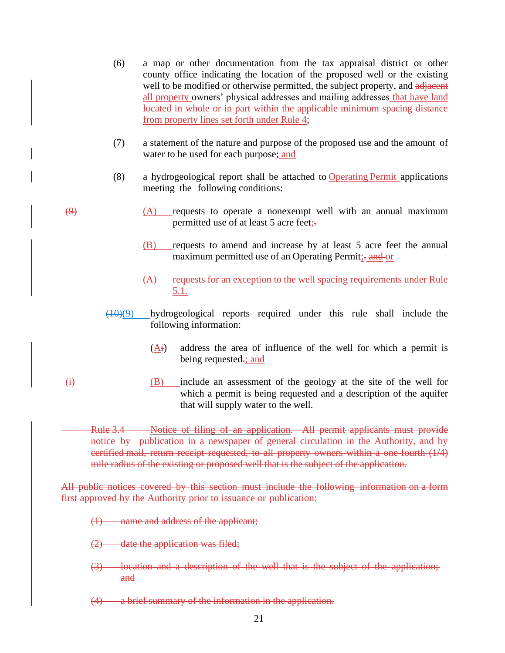- (6) a map or other documentation from the tax appraisal district or other county office indicating the location of the proposed well or the existing well to be modified or otherwise permitted, the subject property, and adjacent all property owners' physical addresses and mailing addresses that have land located in whole or in part within the applicable minimum spacing distance from property lines set forth under Rule 4;
- (7) a statement of the nature and purpose of the proposed use and the amount of water to be used for each purpose; and
- (8) a hydrogeological report shall be attached to Operating Permit applications meeting the following conditions:
- $\overline{(A)}$  requests to operate a nonexempt well with an annual maximum permitted use of at least 5 acre feet;-
	- (B) requests to amend and increase by at least 5 acre feet the annual maximum permitted use of an Operating Permit;- and or
	- (A) requests for an exception to the well spacing requirements under Rule 5.1.
	- $(10)(9)$  hydrogeological reports required under this rule shall include the following information:
		- (Ai) address the area of influence of the well for which a permit is being requested-; and
- $\overrightarrow{H}$  (B) include an assessment of the geology at the site of the well for which a permit is being requested and a description of the aquifer that will supply water to the well.

Rule 3.4 Notice of filing of an application. All permit applicants must provide notice by publication in a newspaper of general circulation in the Authority, and by certified mail, return receipt requested, to all property owners within a one-fourth (1/4) mile radius of the existing or proposed well that is the subject of the application.

All public notices covered by this section must include the following information on a form first approved by the Authority prior to issuance or publication:

- (1) name and address of the applicant;
- $(2)$  date the application was filed;
- (3) location and a description of the well that is the subject of the application; and
- (4) a brief summary of the information in the application.
	- 21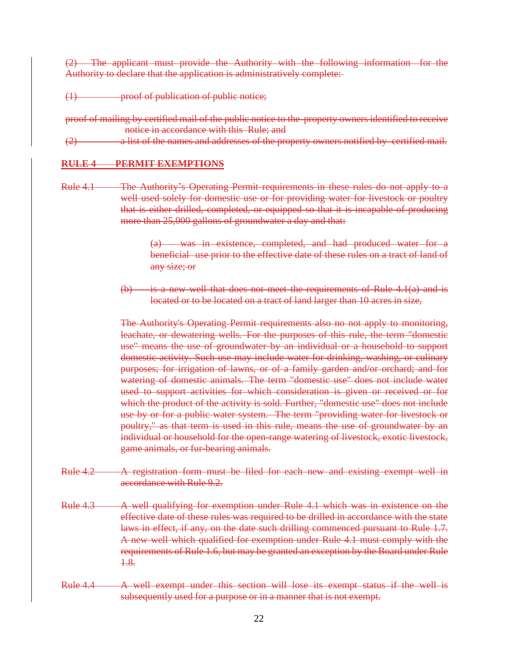(2) The applicant must provide the Authority with the following information for the Authority to declare that the application is administratively complete:

- (1) proof of publication of public notice;
- proof of mailing by certified mail of the public notice to the property owners identified to receive notice in accordance with this Rule; and
- $(2)$  a list of the names and addresses of the property owners notified by certified mail.

#### **RULE 4 PERMIT EXEMPTIONS**

Rule 4.1 The Authority's Operating Permit requirements in these rules do not apply to a well used solely for domestic use or for providing water for livestock or poultry that is either drilled, completed, or equipped so that it is incapable of producing more than 25,000 gallons of groundwater a day and that:

> (a) was in existence, completed, and had produced water for a beneficial use prior to the effective date of these rules on a tract of land of any size; or

(b) is a new well that does not meet the requirements of Rule  $4.1(a)$  and is located or to be located on a tract of land larger than 10 acres in size,

The Authority's Operating Permit requirements also no not apply to monitoring, leachate, or dewatering wells. For the purposes of this rule, the term "domestic use" means the use of groundwater by an individual or a household to support domestic activity. Such use may include water for drinking, washing, or culinary purposes; for irrigation of lawns, or of a family garden and/or orchard; and for watering of domestic animals. The term "domestic use" does not include water used to support activities for which consideration is given or received or for which the product of the activity is sold. Further, "domestic use" does not include use by or for a public water system. The term "providing water for livestock or poultry," as that term is used in this rule, means the use of groundwater by an individual or household for the open-range watering of livestock, exotic livestock, game animals, or fur-bearing animals.

- Rule 4.2 A registration form must be filed for each new and existing exempt well in accordance with Rule 9.2.
- Rule 4.3 A well qualifying for exemption under Rule 4.1 which was in existence on the effective date of these rules was required to be drilled in accordance with the state laws in effect, if any, on the date such drilling commenced pursuant to Rule 1.7. A new well which qualified for exemption under Rule 4.1 must comply with the requirements of Rule 1.6, but may be granted an exception by the Board under Rule 1.8.
- Rule 4.4 A well exempt under this section will lose its exempt status if the well is subsequently used for a purpose or in a manner that is not exempt.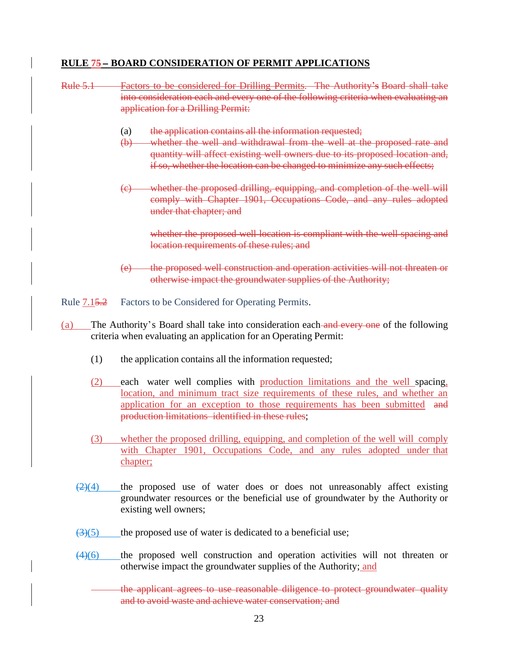## <span id="page-22-0"></span>**RULE 75 BOARD CONSIDERATION OF PERMIT APPLICATIONS**

<span id="page-22-1"></span>

| <b>Rule 5.1</b>                                                                                                                                                    | Factors to be considered for Drilling Permits. The Authority's Board shall take<br>into consideration each and every one of the following criteria when evaluating an<br>application for a Drilling Permit:                                                                                                        |  |  |  |
|--------------------------------------------------------------------------------------------------------------------------------------------------------------------|--------------------------------------------------------------------------------------------------------------------------------------------------------------------------------------------------------------------------------------------------------------------------------------------------------------------|--|--|--|
|                                                                                                                                                                    | the application contains all the information requested;<br>(a)<br>whether the well and withdrawal from the well at the proposed rate and<br>$\bigoplus$<br>quantity will affect existing well owners due to its proposed location and,<br>if so, whether the location can be changed to minimize any such effects; |  |  |  |
|                                                                                                                                                                    | (c) whether the proposed drilling, equipping, and completion of the well will<br>comply with Chapter 1901, Occupations Code, and any rules adopted<br>under that chapter; and                                                                                                                                      |  |  |  |
|                                                                                                                                                                    | whether the proposed well location is compliant with the well spacing and<br>location requirements of these rules; and                                                                                                                                                                                             |  |  |  |
|                                                                                                                                                                    | (e) the proposed well construction and operation activities will not threaten or<br>otherwise impact the groundwater supplies of the Authority;                                                                                                                                                                    |  |  |  |
| Rule 7.15.2                                                                                                                                                        | Factors to be Considered for Operating Permits.                                                                                                                                                                                                                                                                    |  |  |  |
| The Authority's Board shall take into consideration each and every one of the following<br>(a)<br>criteria when evaluating an application for an Operating Permit: |                                                                                                                                                                                                                                                                                                                    |  |  |  |
| (1)                                                                                                                                                                | the application contains all the information requested;                                                                                                                                                                                                                                                            |  |  |  |
| (2)                                                                                                                                                                | each water well complies with production limitations and the well spacing,<br>location, and minimum tract size requirements of these rules, and whether an<br>application for an exception to those requirements has been submitted and<br>production limitations identified in these rules;                       |  |  |  |
| (3)                                                                                                                                                                | whether the proposed drilling, equipping, and completion of the well will comply<br>with Chapter 1901, Occupations Code, and any rules adopted under that<br>chapter;                                                                                                                                              |  |  |  |
| $\left(2\right)\left(4\right)$                                                                                                                                     | the proposed use of water does or does not unreasonably affect existing<br>groundwater resources or the beneficial use of groundwater by the Authority or<br>existing well owners;                                                                                                                                 |  |  |  |

- $\left(\frac{3}{5}\right)$  the proposed use of water is dedicated to a beneficial use;
- $\left(4\right)\left(6\right)$  the proposed well construction and operation activities will not threaten or otherwise impact the groundwater supplies of the Authority; and
	- the applicant agrees to use reasonable diligence to protect groundwater quality and to avoid waste and achieve water conservation; and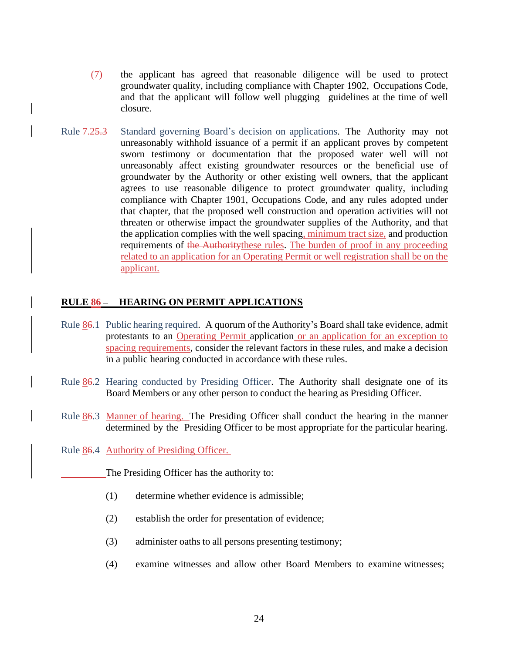- (7) the applicant has agreed that reasonable diligence will be used to protect groundwater quality, including compliance with Chapter 1902, Occupations Code, and that the applicant will follow well plugging guidelines at the time of well closure.
- <span id="page-23-0"></span>Rule 7.25.3 Standard governing Board's decision on applications. The Authority may not unreasonably withhold issuance of a permit if an applicant proves by competent sworn testimony or documentation that the proposed water well will not unreasonably affect existing groundwater resources or the beneficial use of groundwater by the Authority or other existing well owners, that the applicant agrees to use reasonable diligence to protect groundwater quality, including compliance with Chapter 1901, Occupations Code, and any rules adopted under that chapter, that the proposed well construction and operation activities will not threaten or otherwise impact the groundwater supplies of the Authority, and that the application complies with the well spacing, minimum tract size, and production requirements of the Authority these rules. The burden of proof in any proceeding related to an application for an Operating Permit or well registration shall be on the applicant.

#### <span id="page-23-1"></span>**RULE 86- HEARING ON PERMIT APPLICATIONS**

- <span id="page-23-2"></span>Rule 86.1 Public hearing required. A quorum of the Authority's Board shall take evidence, admit protestants to an Operating Permit application or an application for an exception to spacing requirements, consider the relevant factors in these rules, and make a decision in a public hearing conducted in accordance with these rules.
- <span id="page-23-3"></span>Rule 86.2 Hearing conducted by Presiding Officer. The Authority shall designate one of its Board Members or any other person to conduct the hearing as Presiding Officer.
- <span id="page-23-4"></span>Rule 86.3 Manner of hearing. The Presiding Officer shall conduct the hearing in the manner determined by the Presiding Officer to be most appropriate for the particular hearing.
- <span id="page-23-5"></span>Rule 86.4 Authority of Presiding Officer.

The Presiding Officer has the authority to:

- (1) determine whether evidence is admissible;
- (2) establish the order for presentation of evidence;
- (3) administer oaths to all persons presenting testimony;
- (4) examine witnesses and allow other Board Members to examine witnesses;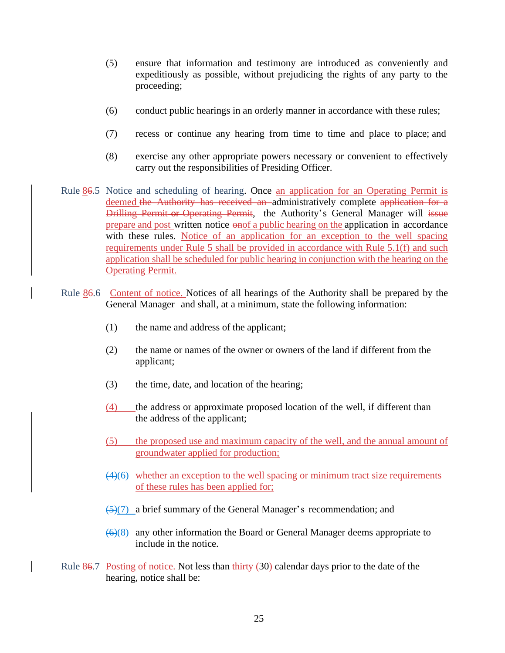- (5) ensure that information and testimony are introduced as conveniently and expeditiously as possible, without prejudicing the rights of any party to the proceeding;
- (6) conduct public hearings in an orderly manner in accordance with these rules;
- (7) recess or continue any hearing from time to time and place to place; and
- (8) exercise any other appropriate powers necessary or convenient to effectively carry out the responsibilities of Presiding Officer.
- <span id="page-24-0"></span>Rule 86.5 Notice and scheduling of hearing. Once an application for an Operating Permit is deemed the Authority has received an administratively complete application for a Drilling Permit or Operating Permit, the Authority's General Manager will issue prepare and post written notice  $\overline{\text{e-} \text{mof a public hearing on the application in accordance}}$ with these rules. Notice of an application for an exception to the well spacing requirements under Rule 5 shall be provided in accordance with Rule 5.1(f) and such application shall be scheduled for public hearing in conjunction with the hearing on the Operating Permit.
- <span id="page-24-1"></span>Rule 86.6 Content of notice. Notices of all hearings of the Authority shall be prepared by the General Manager and shall, at a minimum, state the following information:
	- (1) the name and address of the applicant;
	- (2) the name or names of the owner or owners of the land if different from the applicant;
	- (3) the time, date, and location of the hearing;
	- (4) the address or approximate proposed location of the well, if different than the address of the applicant;
	- (5) the proposed use and maximum capacity of the well, and the annual amount of groundwater applied for production;
	- $(4)(6)$  whether an exception to the well spacing or minimum tract size requirements of these rules has been applied for;
	- $\left(\frac{5}{7}\right)$  a brief summary of the General Manager's recommendation; and
	- $(6)(8)$  any other information the Board or General Manager deems appropriate to include in the notice.
- <span id="page-24-2"></span>Rule  $86.7$  Posting of notice. Not less than thirty (30) calendar days prior to the date of the hearing, notice shall be: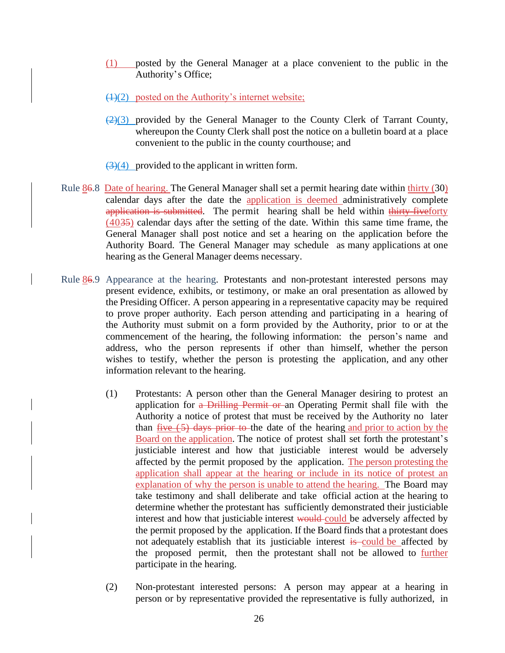- (1) posted by the General Manager at a place convenient to the public in the Authority's Office;
- $(1)(2)$  posted on the Authority's internet website;
- $\left(\frac{2}{3}\right)$  provided by the General Manager to the County Clerk of Tarrant County, whereupon the County Clerk shall post the notice on a bulletin board at a place convenient to the public in the county courthouse; and

 $\left(\frac{3}{4}\right)$  provided to the applicant in written form.

- <span id="page-25-0"></span>Rule 86.8 Date of hearing. The General Manager shall set a permit hearing date within thirty (30) calendar days after the date the application is deemed administratively complete application is submitted. The permit hearing shall be held within thirty-fiveforty (4035) calendar days after the setting of the date. Within this same time frame, the General Manager shall post notice and set a hearing on the application before the Authority Board. The General Manager may schedule as many applications at one hearing as the General Manager deems necessary.
- <span id="page-25-1"></span>Rule 86.9 Appearance at the hearing. Protestants and non-protestant interested persons may present evidence, exhibits, or testimony, or make an oral presentation as allowed by the Presiding Officer. A person appearing in a representative capacity may be required to prove proper authority. Each person attending and participating in a hearing of the Authority must submit on a form provided by the Authority, prior to or at the commencement of the hearing, the following information: the person's name and address, who the person represents if other than himself, whether the person wishes to testify, whether the person is protesting the application, and any other information relevant to the hearing.
	- (1) Protestants: A person other than the General Manager desiring to protest an application for a Drilling Permit or an Operating Permit shall file with the Authority a notice of protest that must be received by the Authority no later than  $\frac{five(5)}{s}$  days prior to the date of the hearing and prior to action by the Board on the application. The notice of protest shall set forth the protestant's justiciable interest and how that justiciable interest would be adversely affected by the permit proposed by the application. The person protesting the application shall appear at the hearing or include in its notice of protest an explanation of why the person is unable to attend the hearing. The Board may take testimony and shall deliberate and take official action at the hearing to determine whether the protestant has sufficiently demonstrated their justiciable interest and how that justiciable interest would could be adversely affected by the permit proposed by the application. If the Board finds that a protestant does not adequately establish that its justiciable interest is could be affected by the proposed permit, then the protestant shall not be allowed to further participate in the hearing.
	- (2) Non-protestant interested persons: A person may appear at a hearing in person or by representative provided the representative is fully authorized, in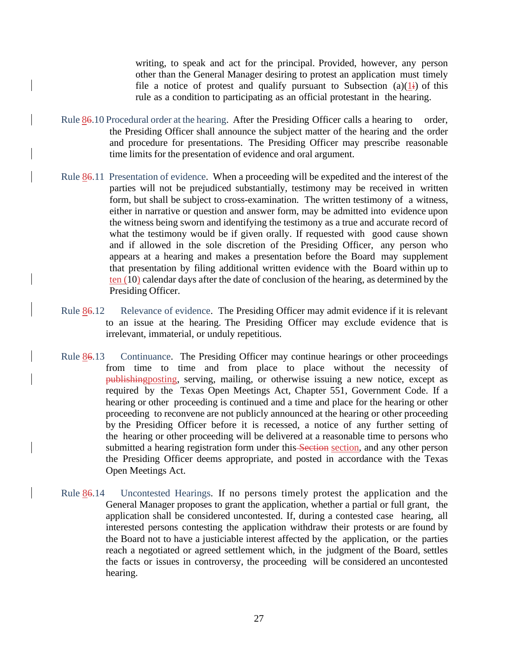writing, to speak and act for the principal. Provided, however, any person other than the General Manager desiring to protest an application must timely file a notice of protest and qualify pursuant to Subsection  $(a)(1)$  of this rule as a condition to participating as an official protestant in the hearing.

- <span id="page-26-0"></span>Rule  $86.10$  Procedural order at the hearing. After the Presiding Officer calls a hearing to order, the Presiding Officer shall announce the subject matter of the hearing and the order and procedure for presentations. The Presiding Officer may prescribe reasonable time limits for the presentation of evidence and oral argument.
- <span id="page-26-1"></span>Rule 86.11 Presentation of evidence. When a proceeding will be expedited and the interest of the parties will not be prejudiced substantially, testimony may be received in written form, but shall be subject to cross-examination. The written testimony of a witness, either in narrative or question and answer form, may be admitted into evidence upon the witness being sworn and identifying the testimony as a true and accurate record of what the testimony would be if given orally. If requested with good cause shown and if allowed in the sole discretion of the Presiding Officer, any person who appears at a hearing and makes a presentation before the Board may supplement that presentation by filing additional written evidence with the Board within up to ten (10) calendar days after the date of conclusion of the hearing, as determined by the Presiding Officer.
- <span id="page-26-2"></span>Rule 86.12 Relevance of evidence. The Presiding Officer may admit evidence if it is relevant to an issue at the hearing. The Presiding Officer may exclude evidence that is irrelevant, immaterial, or unduly repetitious.
- <span id="page-26-3"></span>Rule 86.13 Continuance. The Presiding Officer may continue hearings or other proceedings from time to time and from place to place without the necessity of publishingposting, serving, mailing, or otherwise issuing a new notice, except as required by the Texas Open Meetings Act, Chapter 551, Government Code. If a hearing or other proceeding is continued and a time and place for the hearing or other proceeding to reconvene are not publicly announced at the hearing or other proceeding by the Presiding Officer before it is recessed, a notice of any further setting of the hearing or other proceeding will be delivered at a reasonable time to persons who submitted a hearing registration form under this Section section, and any other person the Presiding Officer deems appropriate, and posted in accordance with the Texas Open Meetings Act.
- <span id="page-26-4"></span>Rule 86.14 Uncontested Hearings. If no persons timely protest the application and the General Manager proposes to grant the application, whether a partial or full grant, the application shall be considered uncontested. If, during a contested case hearing, all interested persons contesting the application withdraw their protests or are found by the Board not to have a justiciable interest affected by the application, or the parties reach a negotiated or agreed settlement which, in the judgment of the Board, settles the facts or issues in controversy, the proceeding will be considered an uncontested hearing.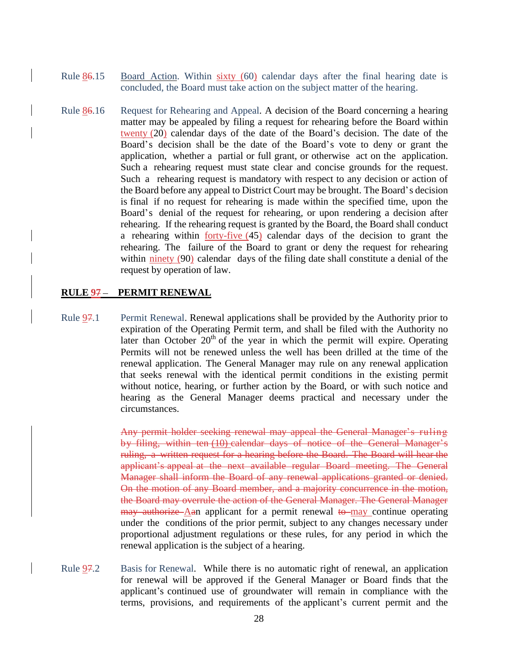- <span id="page-27-0"></span>Rule 86.15 Board Action. Within sixty (60) calendar days after the final hearing date is concluded, the Board must take action on the subject matter of the hearing.
- <span id="page-27-1"></span>Rule 86.16 Request for Rehearing and Appeal. A decision of the Board concerning a hearing matter may be appealed by filing a request for rehearing before the Board within twenty (20) calendar days of the date of the Board's decision. The date of the Board's decision shall be the date of the Board's vote to deny or grant the application, whether a partial or full grant, or otherwise act on the application. Such a rehearing request must state clear and concise grounds for the request. Such a rehearing request is mandatory with respect to any decision or action of the Board before any appeal to District Court may be brought. The Board's decision is final if no request for rehearing is made within the specified time, upon the Board's denial of the request for rehearing, or upon rendering a decision after rehearing. If the rehearing request is granted by the Board, the Board shall conduct a rehearing within  $forty$ -five  $(45)$  calendar days of the decision to grant the rehearing. The failure of the Board to grant or deny the request for rehearing within ninety (90) calendar days of the filing date shall constitute a denial of the request by operation of law.

#### <span id="page-27-2"></span>**RULE 97- PERMIT RENEWAL**

<span id="page-27-3"></span>Rule 97.1 Permit Renewal. Renewal applications shall be provided by the Authority prior to expiration of the Operating Permit term, and shall be filed with the Authority no later than October  $20<sup>th</sup>$  of the year in which the permit will expire. Operating Permits will not be renewed unless the well has been drilled at the time of the renewal application. The General Manager may rule on any renewal application that seeks renewal with the identical permit conditions in the existing permit without notice, hearing, or further action by the Board, or with such notice and hearing as the General Manager deems practical and necessary under the circumstances.

> Any permit holder seeking renewal may appeal the General Manager's ruling by filing, within ten (10) calendar days of notice of the General Manager's ruling, a written request for a hearing before the Board. The Board will hear the applicant's appeal at the next available regular Board meeting. The General Manager shall inform the Board of any renewal applications granted or denied. On the motion of any Board member, and a majority concurrence in the motion, the Board may overrule the action of the General Manager. The General Manager  $\frac{may}{t}$  authorize Aan applicant for a permit renewal to may continue operating under the conditions of the prior permit, subject to any changes necessary under proportional adjustment regulations or these rules, for any period in which the renewal application is the subject of a hearing.

<span id="page-27-4"></span>Rule 97.2 Basis for Renewal. While there is no automatic right of renewal, an application for renewal will be approved if the General Manager or Board finds that the applicant's continued use of groundwater will remain in compliance with the terms, provisions, and requirements of the applicant's current permit and the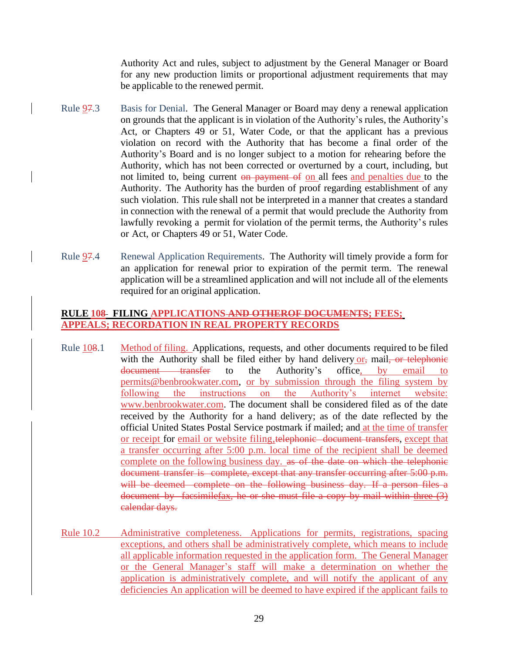Authority Act and rules, subject to adjustment by the General Manager or Board for any new production limits or proportional adjustment requirements that may be applicable to the renewed permit.

- <span id="page-28-0"></span>Rule 97.3 Basis for Denial. The General Manager or Board may deny a renewal application on grounds that the applicant is in violation of the Authority's rules, the Authority's Act, or Chapters 49 or 51, Water Code, or that the applicant has a previous violation on record with the Authority that has become a final order of the Authority's Board and is no longer subject to a motion for rehearing before the Authority, which has not been corrected or overturned by a court, including, but not limited to, being current on payment of on all fees and penalties due to the Authority. The Authority has the burden of proof regarding establishment of any such violation. This rule shall not be interpreted in a manner that creates a standard in connection with the renewal of a permit that would preclude the Authority from lawfully revoking a permit for violation of the permit terms, the Authority's rules or Act, or Chapters 49 or 51, Water Code.
- <span id="page-28-1"></span>Rule 97.4 Renewal Application Requirements. The Authority will timely provide a form for an application for renewal prior to expiration of the permit term. The renewal application will be a streamlined application and will not include all of the elements required for an original application.

#### <span id="page-28-2"></span>**RULE 108 FILING APPLICATIONS AND OTHEROF DOCUMENTS; FEES; APPEALS; RECORDATION IN REAL PROPERTY RECORDS**

- <span id="page-28-3"></span>Rule  $108.1$  Method of filing. Applications, requests, and other documents required to be filed with the Authority shall be filed either by hand delivery  $or_7$  mail, or telephonic document transfer to the Authority's office, by email to [permits@benbrookwater.com,](mailto:permits@benbrookwater.com) or by submission through the filing system by following the instructions on the Authority's internet website: www.benbrookwater.com. The document shall be considered filed as of the date received by the Authority for a hand delivery; as of the date reflected by the official United States Postal Service postmark if mailed; and at the time of transfer or receipt for email or website filing,telephonic document transfers, except that a transfer occurring after 5:00 p.m. local time of the recipient shall be deemed complete on the following business day. as of the date on which the telephonic document transfer is complete, except that any transfer occurring after 5:00 p.m. will be deemed complete on the following business day. If a person files a document by facsimilefax, he or she must file a copy by mail within three (3) calendar days.
- <span id="page-28-4"></span>Rule 10.2 Administrative completeness. Applications for permits, registrations, spacing exceptions, and others shall be administratively complete, which means to include all applicable information requested in the application form. The General Manager or the General Manager's staff will make a determination on whether the application is administratively complete, and will notify the applicant of any deficiencies An application will be deemed to have expired if the applicant fails to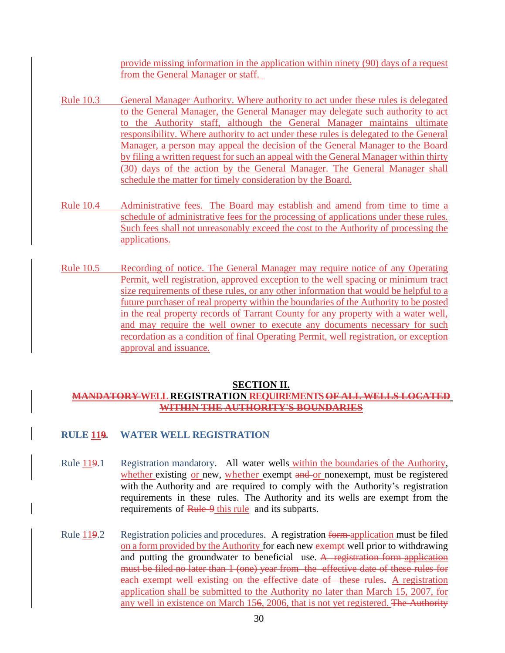provide missing information in the application within ninety (90) days of a request from the General Manager or staff.

- <span id="page-29-0"></span>Rule 10.3 General Manager Authority. Where authority to act under these rules is delegated to the General Manager, the General Manager may delegate such authority to act to the Authority staff, although the General Manager maintains ultimate responsibility. Where authority to act under these rules is delegated to the General Manager, a person may appeal the decision of the General Manager to the Board by filing a written request for such an appeal with the General Manager within thirty (30) days of the action by the General Manager. The General Manager shall schedule the matter for timely consideration by the Board.
- Rule 10.4 Administrative fees. The Board may establish and amend from time to time a schedule of administrative fees for the processing of applications under these rules. Such fees shall not unreasonably exceed the cost to the Authority of processing the applications.
- <span id="page-29-1"></span>Rule 10.5 Recording of notice. The General Manager may require notice of any Operating Permit, well registration, approved exception to the well spacing or minimum tract size requirements of these rules, or any other information that would be helpful to a future purchaser of real property within the boundaries of the Authority to be posted in the real property records of Tarrant County for any property with a water well, and may require the well owner to execute any documents necessary for such recordation as a condition of final Operating Permit, well registration, or exception approval and issuance.

#### **SECTION II.**

## <span id="page-29-3"></span><span id="page-29-2"></span>**MANDATORY WELL REGISTRATION REQUIREMENTS OF ALL WELLS LOCATED WITHIN THE AUTHORITY'S BOUNDARIES**

## <span id="page-29-4"></span>**RULE 119 WATER WELL REGISTRATION**

- <span id="page-29-5"></span>Rule 119.1 Registration mandatory. All water wells within the boundaries of the Authority, whether existing or new, whether exempt and or nonexempt, must be registered with the Authority and are required to comply with the Authority's registration requirements in these rules. The Authority and its wells are exempt from the requirements of Rule 9 this rule and its subparts.
- <span id="page-29-6"></span>Rule 119.2 Registration policies and procedures. A registration form application must be filed on a form provided by the Authority for each new exempt well prior to withdrawing and putting the groundwater to beneficial use. A registration form application must be filed no later than 1 (one) year from the effective date of these rules for each exempt well existing on the effective date of these rules. A registration application shall be submitted to the Authority no later than March 15, 2007, for any well in existence on March 156, 2006, that is not yet registered. The Authority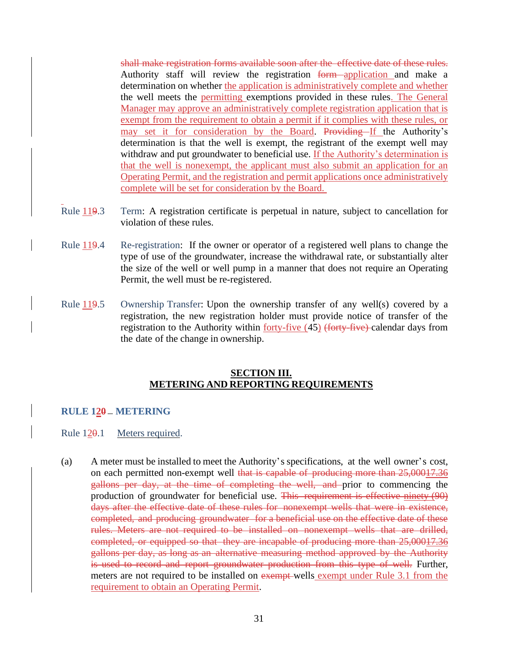shall make registration forms available soon after the effective date of these rules. Authority staff will review the registration form application and make a determination on whether the application is administratively complete and whether the well meets the permitting exemptions provided in these rules. The General Manager may approve an administratively complete registration application that is exempt from the requirement to obtain a permit if it complies with these rules, or may set it for consideration by the Board. Providing If the Authority's determination is that the well is exempt, the registrant of the exempt well may withdraw and put groundwater to beneficial use. If the Authority's determination is that the well is nonexempt, the applicant must also submit an application for an Operating Permit, and the registration and permit applications once administratively complete will be set for consideration by the Board.

- <span id="page-30-0"></span>Rule  $119.3$  Term: A registration certificate is perpetual in nature, subject to cancellation for violation of these rules.
- <span id="page-30-1"></span>Rule 119.4 Re-registration: If the owner or operator of a registered well plans to change the type of use of the groundwater, increase the withdrawal rate, or substantially alter the size of the well or well pump in a manner that does not require an Operating Permit, the well must be re-registered.
- <span id="page-30-2"></span>Rule 119.5 Ownership Transfer: Upon the ownership transfer of any well(s) covered by a registration, the new registration holder must provide notice of transfer of the registration to the Authority within forty-five (45) (forty-five) calendar days from the date of the change in ownership.

#### **SECTION III. METERING AND REPORTING REQUIREMENTS**

## <span id="page-30-5"></span><span id="page-30-4"></span><span id="page-30-3"></span>**RULE 120 METERING**

- <span id="page-30-6"></span>Rule 120.1 Meters required.
- (a) A meter must be installed to meet the Authority's specifications, at the well owner's cost, on each permitted non-exempt well that is capable of producing more than 25,00017.36 gallons per day, at the time of completing the well, and prior to commencing the production of groundwater for beneficial use. This requirement is effective ninety (90) days after the effective date of these rules for nonexempt wells that were in existence, completed, and producing groundwater for a beneficial use on the effective date of these rules. Meters are not required to be installed on nonexempt wells that are drilled, completed, or equipped so that they are incapable of producing more than 25,00017.36 gallons per day, as long as an alternative measuring method approved by the Authority is used to record and report groundwater production from this type of well. Further, meters are not required to be installed on exempt wells exempt under Rule 3.1 from the requirement to obtain an Operating Permit.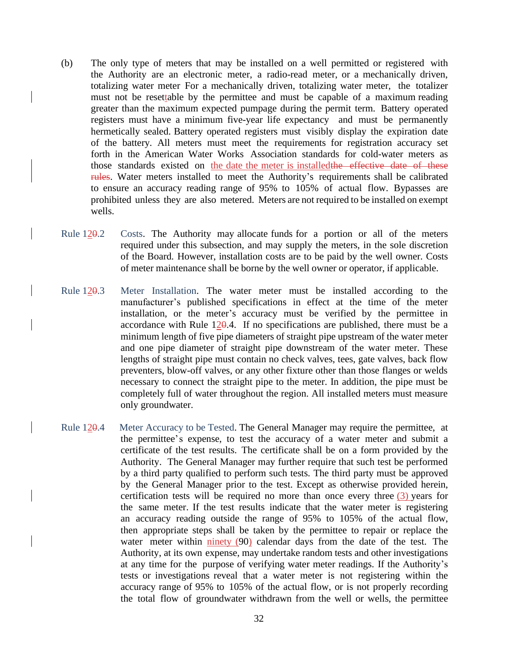- (b) The only type of meters that may be installed on a well permitted or registered with the Authority are an electronic meter, a radio-read meter, or a mechanically driven, totalizing water meter For a mechanically driven, totalizing water meter, the totalizer must not be resettable by the permittee and must be capable of a maximum reading greater than the maximum expected pumpage during the permit term. Battery operated registers must have a minimum five-year life expectancy and must be permanently hermetically sealed. Battery operated registers must visibly display the expiration date of the battery. All meters must meet the requirements for registration accuracy set forth in the American Water Works Association standards for cold-water meters as those standards existed on the date the meter is installed the effective date of these rules. Water meters installed to meet the Authority's requirements shall be calibrated to ensure an accuracy reading range of 95% to 105% of actual flow. Bypasses are prohibited unless they are also metered. Meters are not required to be installed on exempt wells.
- <span id="page-31-0"></span>Rule 120.2 Costs. The Authority may allocate funds for a portion or all of the meters required under this subsection, and may supply the meters, in the sole discretion of the Board. However, installation costs are to be paid by the well owner. Costs of meter maintenance shall be borne by the well owner or operator, if applicable.
- <span id="page-31-1"></span>Rule 120.3 Meter Installation. The water meter must be installed according to the manufacturer's published specifications in effect at the time of the meter installation, or the meter's accuracy must be verified by the permittee in accordance with Rule  $120.4$ . If no specifications are published, there must be a minimum length of five pipe diameters of straight pipe upstream of the water meter and one pipe diameter of straight pipe downstream of the water meter. These lengths of straight pipe must contain no check valves, tees, gate valves, back flow preventers, blow-off valves, or any other fixture other than those flanges or welds necessary to connect the straight pipe to the meter. In addition, the pipe must be completely full of water throughout the region. All installed meters must measure only groundwater.
- <span id="page-31-2"></span>Rule 120.4 Meter Accuracy to be Tested. The General Manager may require the permittee, at the permittee's expense, to test the accuracy of a water meter and submit a certificate of the test results. The certificate shall be on a form provided by the Authority. The General Manager may further require that such test be performed by a third party qualified to perform such tests. The third party must be approved by the General Manager prior to the test. Except as otherwise provided herein, certification tests will be required no more than once every three  $(3)$  years for the same meter. If the test results indicate that the water meter is registering an accuracy reading outside the range of 95% to 105% of the actual flow, then appropriate steps shall be taken by the permittee to repair or replace the water meter within ninety (90) calendar days from the date of the test. The Authority, at its own expense, may undertake random tests and other investigations at any time for the purpose of verifying water meter readings. If the Authority's tests or investigations reveal that a water meter is not registering within the accuracy range of 95% to 105% of the actual flow, or is not properly recording the total flow of groundwater withdrawn from the well or wells, the permittee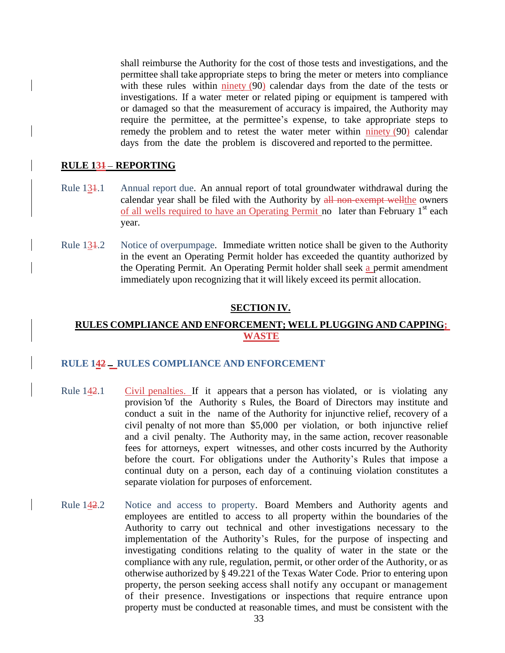shall reimburse the Authority for the cost of those tests and investigations, and the permittee shall take appropriate steps to bring the meter or meters into compliance with these rules within ninety (90) calendar days from the date of the tests or investigations. If a water meter or related piping or equipment is tampered with or damaged so that the measurement of accuracy is impaired, the Authority may require the permittee, at the permittee's expense, to take appropriate steps to remedy the problem and to retest the water meter within ninety (90) calendar days from the date the problem is discovered and reported to the permittee.

#### <span id="page-32-0"></span>**RULE 131 REPORTING**

- <span id="page-32-1"></span>Rule 131.1 Annual report due. An annual report of total groundwater withdrawal during the calendar year shall be filed with the Authority by all non-exempt wellthe owners of all wells required to have an Operating Permit no later than February 1<sup>st</sup> each year.
- <span id="page-32-2"></span>Rule 134.2 Notice of overpumpage. Immediate written notice shall be given to the Authority in the event an Operating Permit holder has exceeded the quantity authorized by the Operating Permit. An Operating Permit holder shall seek a permit amendment immediately upon recognizing that it will likely exceed its permit allocation.

#### **SECTION IV.**

## <span id="page-32-4"></span><span id="page-32-3"></span>**RULES COMPLIANCE AND ENFORCEMENT; WELL PLUGGING AND CAPPING; WASTE**

#### <span id="page-32-5"></span>**RULE 142 RULES COMPLIANCE AND ENFORCEMENT**

- <span id="page-32-6"></span>Rule 142.1 Civil penalties. If it appears that a person has violated, or is violating any provision of the Authority s Rules, the Board of Directors may institute and conduct a suit in the name of the Authority for injunctive relief, recovery of a civil penalty of not more than \$5,000 per violation, or both injunctive relief and a civil penalty. The Authority may, in the same action, recover reasonable fees for attorneys, expert witnesses, and other costs incurred by the Authority before the court. For obligations under the Authority's Rules that impose a continual duty on a person, each day of a continuing violation constitutes a separate violation for purposes of enforcement.
- <span id="page-32-7"></span>Rule 142.2 Notice and access to property. Board Members and Authority agents and employees are entitled to access to all property within the boundaries of the Authority to carry out technical and other investigations necessary to the implementation of the Authority's Rules, for the purpose of inspecting and investigating conditions relating to the quality of water in the state or the compliance with any rule, regulation, permit, or other order of the Authority, or as otherwise authorized by § 49.221 of the Texas Water Code. Prior to entering upon property, the person seeking access shall notify any occupant or management of their presence. Investigations or inspections that require entrance upon property must be conducted at reasonable times, and must be consistent with the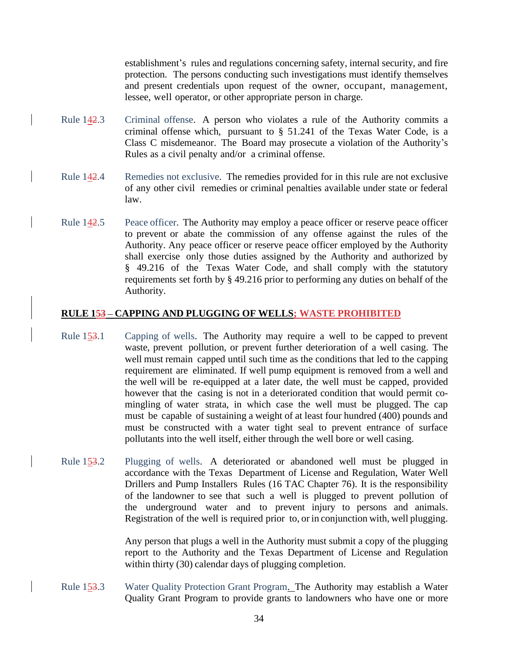establishment's rules and regulations concerning safety, internal security, and fire protection. The persons conducting such investigations must identify themselves and present credentials upon request of the owner, occupant, management, lessee, well operator, or other appropriate person in charge.

- <span id="page-33-0"></span>Rule 142.3 Criminal offense. A person who violates a rule of the Authority commits a criminal offense which, pursuant to § 51.241 of the Texas Water Code, is a Class C misdemeanor. The Board may prosecute a violation of the Authority's Rules as a civil penalty and/or a criminal offense.
- <span id="page-33-1"></span>Rule 142.4 Remedies not exclusive. The remedies provided for in this rule are not exclusive of any other civil remedies or criminal penalties available under state or federal law.
- <span id="page-33-2"></span>Rule 142.5 Peace officer. The Authority may employ a peace officer or reserve peace officer to prevent or abate the commission of any offense against the rules of the Authority. Any peace officer or reserve peace officer employed by the Authority shall exercise only those duties assigned by the Authority and authorized by § 49.216 of the Texas Water Code, and shall comply with the statutory requirements set forth by § 49.216 prior to performing any duties on behalf of the Authority.

#### <span id="page-33-3"></span>**RULE 153 – CAPPING AND PLUGGING OF WELLS; WASTE PROHIBITED**

- <span id="page-33-4"></span>Rule 153.1 Capping of wells. The Authority may require a well to be capped to prevent waste, prevent pollution, or prevent further deterioration of a well casing. The well must remain capped until such time as the conditions that led to the capping requirement are eliminated. If well pump equipment is removed from a well and the well will be re-equipped at a later date, the well must be capped, provided however that the casing is not in a deteriorated condition that would permit comingling of water strata, in which case the well must be plugged. The cap must be capable of sustaining a weight of at least four hundred (400) pounds and must be constructed with a water tight seal to prevent entrance of surface pollutants into the well itself, either through the well bore or well casing.
- <span id="page-33-5"></span>Rule 153.2 Plugging of wells. A deteriorated or abandoned well must be plugged in accordance with the Texas Department of License and Regulation, Water Well Drillers and Pump Installers Rules (16 TAC Chapter 76). It is the responsibility of the landowner to see that such a well is plugged to prevent pollution of the underground water and to prevent injury to persons and animals. Registration of the well is required prior to, or in conjunction with, well plugging.

Any person that plugs a well in the Authority must submit a copy of the plugging report to the Authority and the Texas Department of License and Regulation within thirty (30) calendar days of plugging completion.

<span id="page-33-6"></span>Rule 153.3 Water Quality Protection Grant Program. The Authority may establish a Water Quality Grant Program to provide grants to landowners who have one or more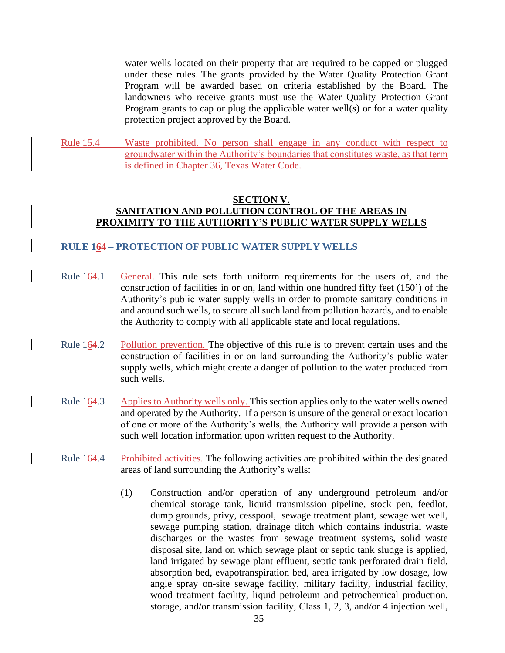water wells located on their property that are required to be capped or plugged under these rules. The grants provided by the Water Quality Protection Grant Program will be awarded based on criteria established by the Board. The landowners who receive grants must use the Water Quality Protection Grant Program grants to cap or plug the applicable water well(s) or for a water quality protection project approved by the Board.

<span id="page-34-0"></span>Rule 15.4 Waste prohibited. No person shall engage in any conduct with respect to groundwater within the Authority's boundaries that constitutes waste, as that term is defined in Chapter 36, Texas Water Code.

#### <span id="page-34-1"></span>**SECTION V. SANITATION AND POLLUTION CONTROL OF THE AREAS IN PROXIMITY TO THE AUTHORITY'S PUBLIC WATER SUPPLY WELLS**

#### <span id="page-34-4"></span><span id="page-34-3"></span><span id="page-34-2"></span>**RULE 164 – PROTECTION OF PUBLIC WATER SUPPLY WELLS**

- <span id="page-34-5"></span>Rule 164.1 General. This rule sets forth uniform requirements for the users of, and the construction of facilities in or on, land within one hundred fifty feet (150') of the Authority's public water supply wells in order to promote sanitary conditions in and around such wells, to secure all such land from pollution hazards, and to enable the Authority to comply with all applicable state and local regulations.
- <span id="page-34-6"></span>Rule 164.2 Pollution prevention. The objective of this rule is to prevent certain uses and the construction of facilities in or on land surrounding the Authority's public water supply wells, which might create a danger of pollution to the water produced from such wells.
- <span id="page-34-7"></span>Rule 164.3 Applies to Authority wells only. This section applies only to the water wells owned and operated by the Authority. If a person is unsure of the general or exact location of one or more of the Authority's wells, the Authority will provide a person with such well location information upon written request to the Authority.
- <span id="page-34-8"></span>Rule 164.4 Prohibited activities. The following activities are prohibited within the designated areas of land surrounding the Authority's wells:
	- (1) Construction and/or operation of any underground petroleum and/or chemical storage tank, liquid transmission pipeline, stock pen, feedlot, dump grounds, privy, cesspool, sewage treatment plant, sewage wet well, sewage pumping station, drainage ditch which contains industrial waste discharges or the wastes from sewage treatment systems, solid waste disposal site, land on which sewage plant or septic tank sludge is applied, land irrigated by sewage plant effluent, septic tank perforated drain field, absorption bed, evapotranspiration bed, area irrigated by low dosage, low angle spray on-site sewage facility, military facility, industrial facility, wood treatment facility, liquid petroleum and petrochemical production, storage, and/or transmission facility, Class 1, 2, 3, and/or 4 injection well,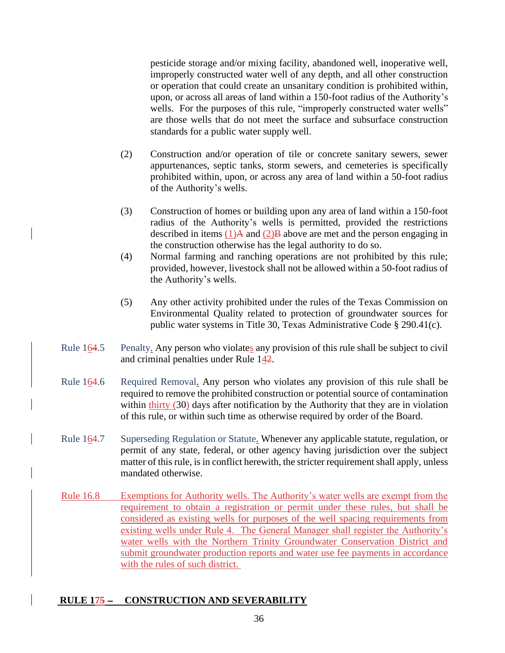pesticide storage and/or mixing facility, abandoned well, inoperative well, improperly constructed water well of any depth, and all other construction or operation that could create an unsanitary condition is prohibited within, upon, or across all areas of land within a 150-foot radius of the Authority's wells. For the purposes of this rule, "improperly constructed water wells" are those wells that do not meet the surface and subsurface construction standards for a public water supply well.

- (2) Construction and/or operation of tile or concrete sanitary sewers, sewer appurtenances, septic tanks, storm sewers, and cemeteries is specifically prohibited within, upon, or across any area of land within a 50-foot radius of the Authority's wells.
- (3) Construction of homes or building upon any area of land within a 150-foot radius of the Authority's wells is permitted, provided the restrictions described in items  $(1)$ A and  $(2)$ B above are met and the person engaging in the construction otherwise has the legal authority to do so.
- (4) Normal farming and ranching operations are not prohibited by this rule; provided, however, livestock shall not be allowed within a 50-foot radius of the Authority's wells.
- (5) Any other activity prohibited under the rules of the Texas Commission on Environmental Quality related to protection of groundwater sources for public water systems in Title 30, Texas Administrative Code § 290.41(c).
- <span id="page-35-0"></span>Rule 164.5 Penalty. Any person who violates any provision of this rule shall be subject to civil and criminal penalties under Rule 142.
- <span id="page-35-1"></span>Rule 164.6 Required Removal. Any person who violates any provision of this rule shall be required to remove the prohibited construction or potential source of contamination within thirty (30) days after notification by the Authority that they are in violation of this rule, or within such time as otherwise required by order of the Board.
- <span id="page-35-2"></span>Rule 164.7 Superseding Regulation or Statute. Whenever any applicable statute, regulation, or permit of any state, federal, or other agency having jurisdiction over the subject matter of this rule, is in conflict herewith, the stricter requirement shall apply, unless mandated otherwise.
- <span id="page-35-3"></span>Rule 16.8 Exemptions for Authority wells. The Authority's water wells are exempt from the requirement to obtain a registration or permit under these rules, but shall be considered as existing wells for purposes of the well spacing requirements from existing wells under Rule 4. The General Manager shall register the Authority's water wells with the Northern Trinity Groundwater Conservation District and submit groundwater production reports and water use fee payments in accordance with the rules of such district.

## <span id="page-35-4"></span>**RULE 175 - CONSTRUCTION AND SEVERABILITY**